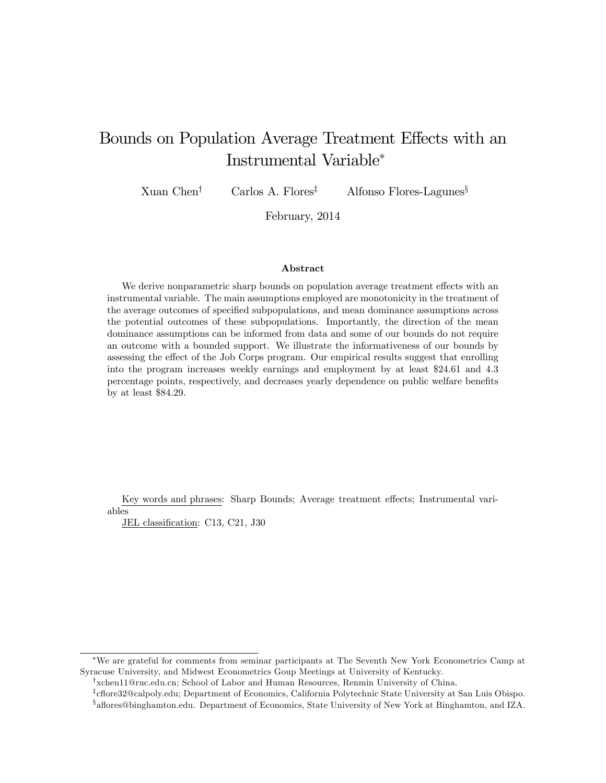# Bounds on Population Average Treatment Effects with an Instrumental Variable

Xuan Chen<sup>†</sup> Carlos A. Flores<sup>‡</sup> Alfonso Flores-Lagunes<sup>§</sup>

February, 2014

#### Abstract

We derive nonparametric sharp bounds on population average treatment effects with an instrumental variable. The main assumptions employed are monotonicity in the treatment of the average outcomes of specified subpopulations, and mean dominance assumptions across the potential outcomes of these subpopulations. Importantly, the direction of the mean dominance assumptions can be informed from data and some of our bounds do not require an outcome with a bounded support. We illustrate the informativeness of our bounds by assessing the effect of the Job Corps program. Our empirical results suggest that enrolling into the program increases weekly earnings and employment by at least \$24:61 and 4:3 percentage points, respectively, and decreases yearly dependence on public welfare benefits by at least \$84:29.

Key words and phrases: Sharp Bounds; Average treatment effects; Instrumental variables

JEL classification: C13, C21, J30

We are grateful for comments from seminar participants at The Seventh New York Econometrics Camp at Syracuse University, and Midwest Econometrics Goup Meetings at University of Kentucky.

<sup>T</sup>xchen11@ruc.edu.cn; School of Labor and Human Resources, Renmin University of China.

<sup>7</sup>cflore32@calpoly.edu; Department of Economics, California Polytechnic State University at San Luis Obispo. <sup>8</sup>aflores@binghamton.edu. Department of Economics, State University of New York at Binghamton, and IZA.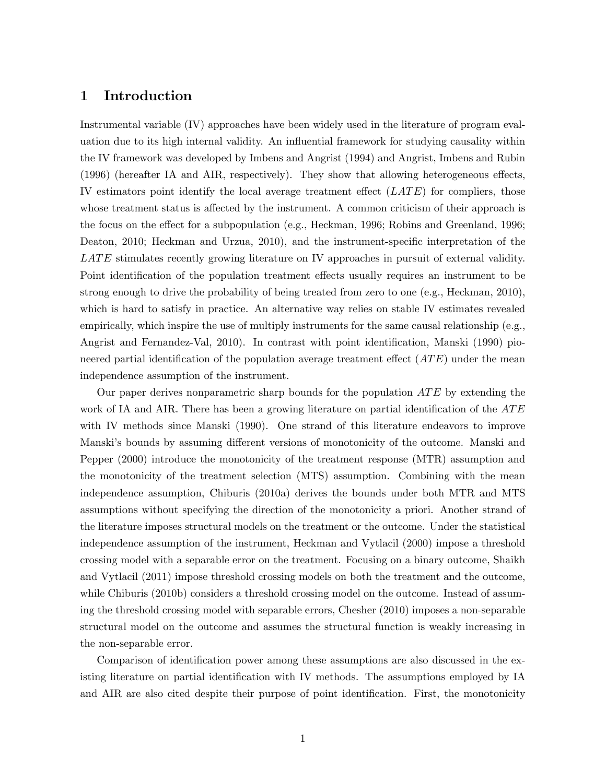# 1 Introduction

Instrumental variable (IV) approaches have been widely used in the literature of program evaluation due to its high internal validity. An influential framework for studying causality within the IV framework was developed by Imbens and Angrist (1994) and Angrist, Imbens and Rubin  $(1996)$  (hereafter IA and AIR, respectively). They show that allowing heterogeneous effects, IV estimators point identify the local average treatment effect  $(LATE)$  for compliers, those whose treatment status is affected by the instrument. A common criticism of their approach is the focus on the effect for a subpopulation (e.g., Heckman, 1996; Robins and Greenland, 1996; Deaton, 2010; Heckman and Urzua, 2010), and the instrument-specific interpretation of the LATE stimulates recently growing literature on IV approaches in pursuit of external validity. Point identification of the population treatment effects usually requires an instrument to be strong enough to drive the probability of being treated from zero to one (e.g., Heckman, 2010), which is hard to satisfy in practice. An alternative way relies on stable IV estimates revealed empirically, which inspire the use of multiply instruments for the same causal relationship (e.g., Angrist and Fernandez-Val, 2010). In contrast with point identification, Manski (1990) pioneered partial identification of the population average treatment effect  $(ATE)$  under the mean independence assumption of the instrument.

Our paper derives nonparametric sharp bounds for the population  $ATE$  by extending the work of IA and AIR. There has been a growing literature on partial identification of the  $ATE$ with IV methods since Manski (1990). One strand of this literature endeavors to improve Manski's bounds by assuming different versions of monotonicity of the outcome. Manski and Pepper (2000) introduce the monotonicity of the treatment response (MTR) assumption and the monotonicity of the treatment selection (MTS) assumption. Combining with the mean independence assumption, Chiburis (2010a) derives the bounds under both MTR and MTS assumptions without specifying the direction of the monotonicity a priori. Another strand of the literature imposes structural models on the treatment or the outcome. Under the statistical independence assumption of the instrument, Heckman and Vytlacil (2000) impose a threshold crossing model with a separable error on the treatment. Focusing on a binary outcome, Shaikh and Vytlacil (2011) impose threshold crossing models on both the treatment and the outcome, while Chiburis (2010b) considers a threshold crossing model on the outcome. Instead of assuming the threshold crossing model with separable errors, Chesher (2010) imposes a non-separable structural model on the outcome and assumes the structural function is weakly increasing in the non-separable error.

Comparison of identification power among these assumptions are also discussed in the existing literature on partial identification with IV methods. The assumptions employed by IA and AIR are also cited despite their purpose of point identification. First, the monotonicity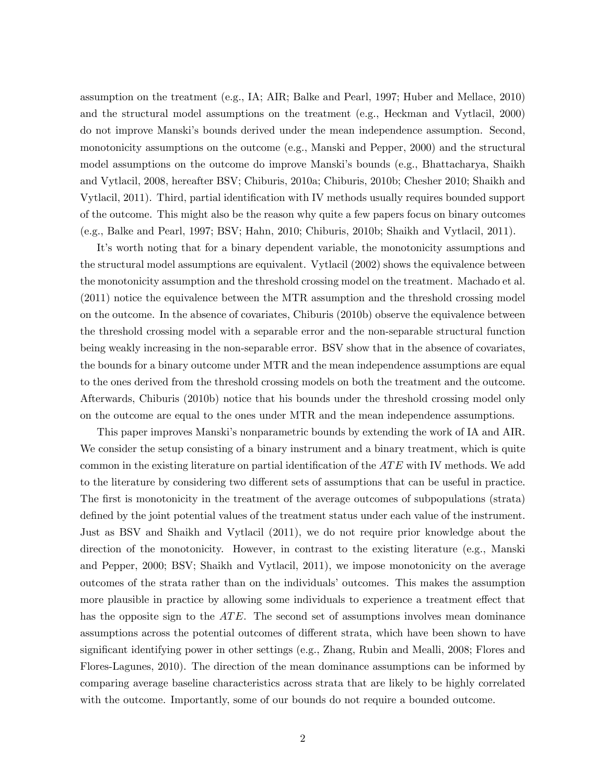assumption on the treatment (e.g., IA; AIR; Balke and Pearl, 1997; Huber and Mellace, 2010) and the structural model assumptions on the treatment (e.g., Heckman and Vytlacil, 2000) do not improve Manski's bounds derived under the mean independence assumption. Second, monotonicity assumptions on the outcome (e.g., Manski and Pepper, 2000) and the structural model assumptions on the outcome do improve Manski's bounds (e.g., Bhattacharya, Shaikh and Vytlacil, 2008, hereafter BSV; Chiburis, 2010a; Chiburis, 2010b; Chesher 2010; Shaikh and Vytlacil, 2011). Third, partial identification with IV methods usually requires bounded support of the outcome. This might also be the reason why quite a few papers focus on binary outcomes (e.g., Balke and Pearl, 1997; BSV; Hahn, 2010; Chiburis, 2010b; Shaikh and Vytlacil, 2011).

It's worth noting that for a binary dependent variable, the monotonicity assumptions and the structural model assumptions are equivalent. Vytlacil (2002) shows the equivalence between the monotonicity assumption and the threshold crossing model on the treatment. Machado et al. (2011) notice the equivalence between the MTR assumption and the threshold crossing model on the outcome. In the absence of covariates, Chiburis (2010b) observe the equivalence between the threshold crossing model with a separable error and the non-separable structural function being weakly increasing in the non-separable error. BSV show that in the absence of covariates, the bounds for a binary outcome under MTR and the mean independence assumptions are equal to the ones derived from the threshold crossing models on both the treatment and the outcome. Afterwards, Chiburis (2010b) notice that his bounds under the threshold crossing model only on the outcome are equal to the ones under MTR and the mean independence assumptions.

This paper improves Manski's nonparametric bounds by extending the work of IA and AIR. We consider the setup consisting of a binary instrument and a binary treatment, which is quite common in the existing literature on partial identification of the  $ATE$  with IV methods. We add to the literature by considering two different sets of assumptions that can be useful in practice. The first is monotonicity in the treatment of the average outcomes of subpopulations (strata) defined by the joint potential values of the treatment status under each value of the instrument. Just as BSV and Shaikh and Vytlacil (2011), we do not require prior knowledge about the direction of the monotonicity. However, in contrast to the existing literature (e.g., Manski and Pepper, 2000; BSV; Shaikh and Vytlacil, 2011), we impose monotonicity on the average outcomes of the strata rather than on the individualsíoutcomes. This makes the assumption more plausible in practice by allowing some individuals to experience a treatment effect that has the opposite sign to the  $ATE$ . The second set of assumptions involves mean dominance assumptions across the potential outcomes of different strata, which have been shown to have significant identifying power in other settings (e.g., Zhang, Rubin and Mealli, 2008; Flores and Flores-Lagunes, 2010). The direction of the mean dominance assumptions can be informed by comparing average baseline characteristics across strata that are likely to be highly correlated with the outcome. Importantly, some of our bounds do not require a bounded outcome.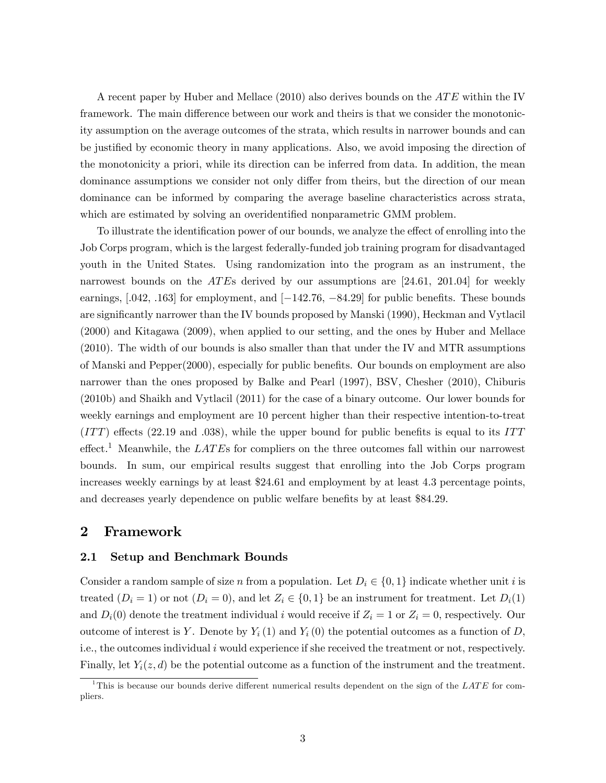A recent paper by Huber and Mellace  $(2010)$  also derives bounds on the  $ATE$  within the IV framework. The main difference between our work and theirs is that we consider the monotonicity assumption on the average outcomes of the strata, which results in narrower bounds and can be justified by economic theory in many applications. Also, we avoid imposing the direction of the monotonicity a priori, while its direction can be inferred from data. In addition, the mean dominance assumptions we consider not only differ from theirs, but the direction of our mean dominance can be informed by comparing the average baseline characteristics across strata, which are estimated by solving an overidentified nonparametric GMM problem.

To illustrate the identification power of our bounds, we analyze the effect of enrolling into the Job Corps program, which is the largest federally-funded job training program for disadvantaged youth in the United States. Using randomization into the program as an instrument, the narrowest bounds on the ATEs derived by our assumptions are  $[24.61, 201.04]$  for weekly earnings,  $[.042, .163]$  for employment, and  $[-142.76, -84.29]$  for public benefits. These bounds are significantly narrower than the IV bounds proposed by Manski (1990), Heckman and Vytlacil (2000) and Kitagawa (2009), when applied to our setting, and the ones by Huber and Mellace (2010). The width of our bounds is also smaller than that under the IV and MTR assumptions of Manski and Pepper $(2000)$ , especially for public benefits. Our bounds on employment are also narrower than the ones proposed by Balke and Pearl (1997), BSV, Chesher (2010), Chiburis (2010b) and Shaikh and Vytlacil (2011) for the case of a binary outcome. Our lower bounds for weekly earnings and employment are 10 percent higher than their respective intention-to-treat  $(TTT)$  effects (22.19 and .038), while the upper bound for public benefits is equal to its ITT effect.<sup>1</sup> Meanwhile, the LATEs for compliers on the three outcomes fall within our narrowest bounds. In sum, our empirical results suggest that enrolling into the Job Corps program increases weekly earnings by at least \$24:61 and employment by at least 4:3 percentage points, and decreases yearly dependence on public welfare benefits by at least \$84.29.

# 2 Framework

#### 2.1 Setup and Benchmark Bounds

Consider a random sample of size n from a population. Let  $D_i \in \{0,1\}$  indicate whether unit i is treated  $(D_i = 1)$  or not  $(D_i = 0)$ , and let  $Z_i \in \{0, 1\}$  be an instrument for treatment. Let  $D_i(1)$ and  $D_i(0)$  denote the treatment individual i would receive if  $Z_i = 1$  or  $Z_i = 0$ , respectively. Our outcome of interest is Y. Denote by  $Y_i(1)$  and  $Y_i(0)$  the potential outcomes as a function of D, i.e., the outcomes individual i would experience if she received the treatment or not, respectively. Finally, let  $Y_i(z, d)$  be the potential outcome as a function of the instrument and the treatment.

<sup>&</sup>lt;sup>1</sup>This is because our bounds derive different numerical results dependent on the sign of the LATE for compliers.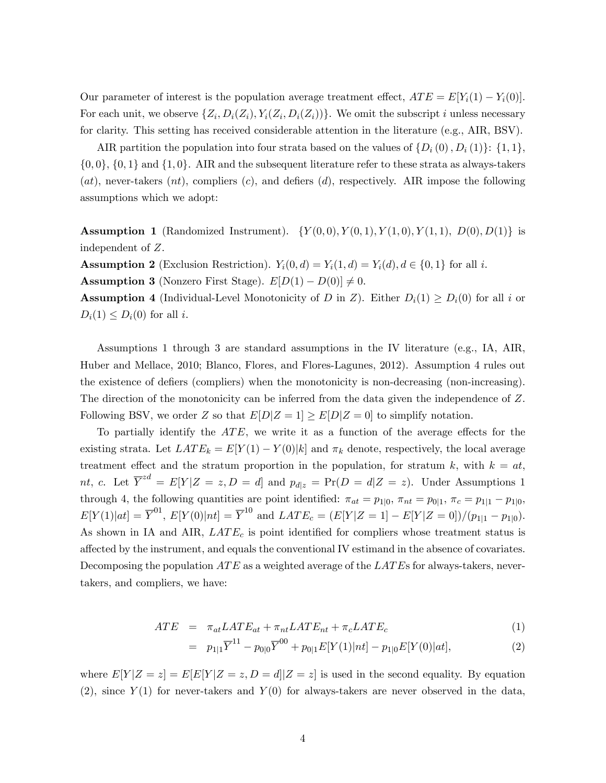Our parameter of interest is the population average treatment effect,  $ATE = E[Y_i(1) - Y_i(0)]$ . For each unit, we observe  $\{Z_i, D_i(Z_i), Y_i(Z_i, D_i(Z_i))\}$ . We omit the subscript i unless necessary for clarity. This setting has received considerable attention in the literature (e.g., AIR, BSV).

AIR partition the population into four strata based on the values of  $\{D_i(0), D_i(1)\}$ :  $\{1, 1\}$ ,  $\{0,0\},\{0,1\}$  and  $\{1,0\}$ . AIR and the subsequent literature refer to these strata as always-takers  $(at)$ , never-takers  $(nt)$ , compliers  $(c)$ , and defiers  $(d)$ , respectively. AIR impose the following assumptions which we adopt:

**Assumption 1** (Randomized Instrument).  $\{Y(0,0), Y(0,1), Y(1,0), Y(1,1), D(0), D(1)\}$  is independent of Z.

**Assumption 2** (Exclusion Restriction).  $Y_i(0, d) = Y_i(1, d) = Y_i(d), d \in \{0, 1\}$  for all i. **Assumption 3** (Nonzero First Stage).  $E[D(1) - D(0)] \neq 0$ .

**Assumption 4** (Individual-Level Monotonicity of D in Z). Either  $D_i(1) \geq D_i(0)$  for all i or  $D_i(1) \leq D_i(0)$  for all i.

Assumptions 1 through 3 are standard assumptions in the IV literature (e.g., IA, AIR, Huber and Mellace, 2010; Blanco, Flores, and Flores-Lagunes, 2012). Assumption 4 rules out the existence of defiers (compliers) when the monotonicity is non-decreasing (non-increasing). The direction of the monotonicity can be inferred from the data given the independence of Z. Following BSV, we order Z so that  $E[D|Z=1] \geq E[D|Z=0]$  to simplify notation.

To partially identify the  $ATE$ , we write it as a function of the average effects for the existing strata. Let  $LATE_k = E[Y(1) - Y(0)|k]$  and  $\pi_k$  denote, respectively, the local average treatment effect and the stratum proportion in the population, for stratum k, with  $k = at$ , nt, c. Let  $\overline{Y}^{zd} = E[Y|Z = z, D = d]$  and  $p_{d|z} = Pr(D = d|Z = z)$ . Under Assumptions 1 through 4, the following quantities are point identified:  $\pi_{at} = p_{1|0}, \pi_{nt} = p_{0|1}, \pi_c = p_{1|1} - p_{1|0},$  $E[Y(1)|at] = \overline{Y}^{01}$ ,  $E[Y(0)|nt] = \overline{Y}^{10}$  and  $LATE_c = (E[Y|Z=1] - E[Y|Z=0])/(p_{1|1} - p_{1|0}).$ As shown in IA and AIR,  $LATE_c$  is point identified for compliers whose treatment status is affected by the instrument, and equals the conventional IV estimand in the absence of covariates. Decomposing the population  $ATE$  as a weighted average of the  $LATE$ s for always-takers, nevertakers, and compliers, we have:

$$
ATE = \pi_{at} LATE_{at} + \pi_{nt} LATE_{nt} + \pi_c LATE_c \tag{1}
$$

$$
= p_{1|1}\overline{Y}^{11} - p_{0|0}\overline{Y}^{00} + p_{0|1}E[Y(1)|nt] - p_{1|0}E[Y(0)|at],
$$
\n(2)

where  $E[Y|Z=z] = E[E[Y|Z=z, D=d]|Z=z]$  is used in the second equality. By equation  $(2)$ , since  $Y(1)$  for never-takers and  $Y(0)$  for always-takers are never observed in the data,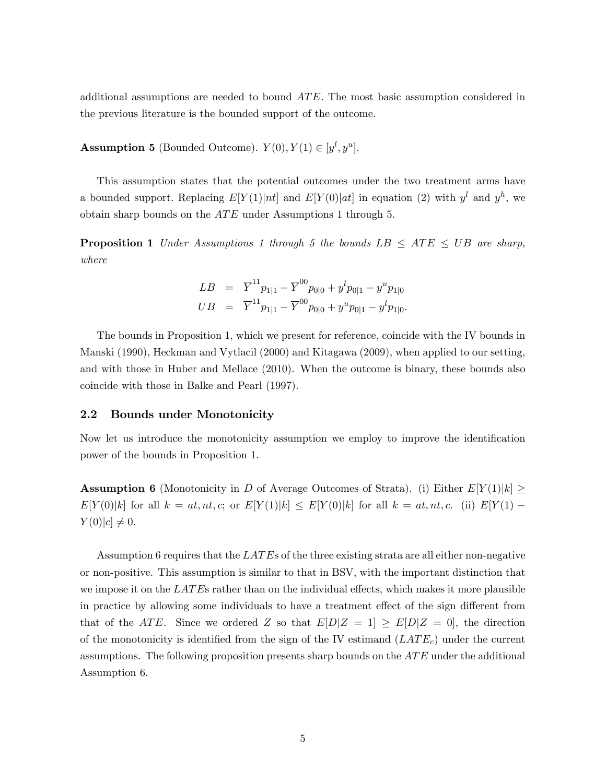additional assumptions are needed to bound  $ATE$ . The most basic assumption considered in the previous literature is the bounded support of the outcome.

**Assumption 5** (Bounded Outcome).  $Y(0), Y(1) \in [y^l, y^u]$ .

This assumption states that the potential outcomes under the two treatment arms have a bounded support. Replacing  $E[Y(1)|nt]$  and  $E[Y(0)|at]$  in equation (2) with  $y<sup>l</sup>$  and  $y<sup>h</sup>$ , we obtain sharp bounds on the  $ATE$  under Assumptions 1 through 5.

**Proposition 1** Under Assumptions 1 through 5 the bounds  $LB \leq ATE \leq UB$  are sharp, where

$$
LB = \overline{Y}^{11} p_{1|1} - \overline{Y}^{00} p_{0|0} + y^l p_{0|1} - y^u p_{1|0}
$$
  

$$
UB = \overline{Y}^{11} p_{1|1} - \overline{Y}^{00} p_{0|0} + y^u p_{0|1} - y^l p_{1|0}.
$$

The bounds in Proposition 1, which we present for reference, coincide with the IV bounds in Manski (1990), Heckman and Vytlacil (2000) and Kitagawa (2009), when applied to our setting, and with those in Huber and Mellace (2010). When the outcome is binary, these bounds also coincide with those in Balke and Pearl (1997).

## 2.2 Bounds under Monotonicity

Now let us introduce the monotonicity assumption we employ to improve the identification power of the bounds in Proposition 1.

**Assumption 6** (Monotonicity in D of Average Outcomes of Strata). (i) Either  $E[Y(1)|k] \geq$  $E[Y(0)|k]$  for all  $k = at, nt, c$ ; or  $E[Y(1)|k] \leq E[Y(0)|k]$  for all  $k = at, nt, c$ . (ii)  $E[Y(1) Y(0)|c| \neq 0.$ 

Assumption 6 requires that the  $LATE$ s of the three existing strata are all either non-negative or non-positive. This assumption is similar to that in BSV, with the important distinction that we impose it on the  $LATEs$  rather than on the individual effects, which makes it more plausible in practice by allowing some individuals to have a treatment effect of the sign different from that of the ATE. Since we ordered Z so that  $E[D|Z = 1] \geq E[D|Z = 0]$ , the direction of the monotonicity is identified from the sign of the IV estimand  $(LATE_c)$  under the current assumptions. The following proposition presents sharp bounds on the  $ATE$  under the additional Assumption 6.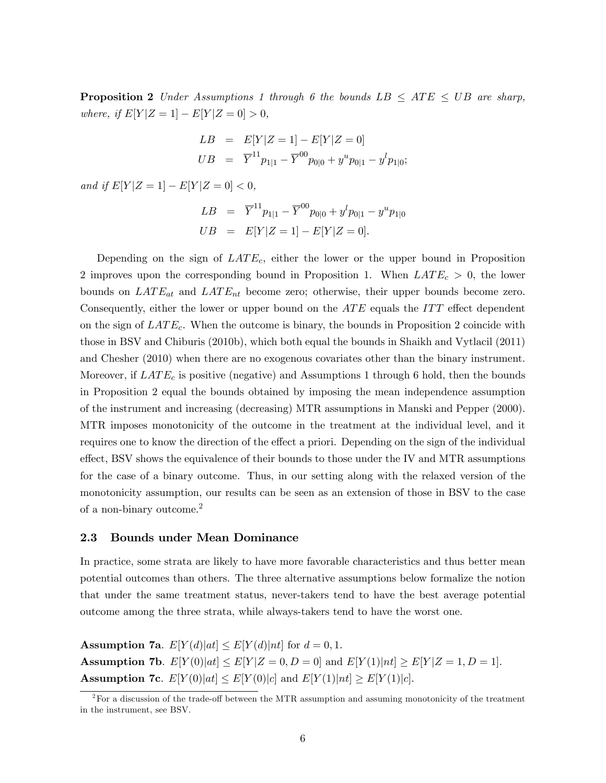**Proposition 2** Under Assumptions 1 through 6 the bounds  $LB \leq ATE \leq UB$  are sharp, where, if  $E[Y|Z = 1] - E[Y|Z = 0] > 0$ ,

$$
LB = E[Y|Z=1] - E[Y|Z=0]
$$
  

$$
UB = \overline{Y}^{11}p_{1|1} - \overline{Y}^{00}p_{0|0} + y^u p_{0|1} - y^l p_{1|0};
$$

and if  $E[Y|Z = 1] - E[Y|Z = 0] < 0$ ,

$$
LB = \overline{Y}^{11} p_{1|1} - \overline{Y}^{00} p_{0|0} + y^l p_{0|1} - y^u p_{1|0}
$$
  

$$
UB = E[Y|Z=1] - E[Y|Z=0].
$$

Depending on the sign of  $LATE<sub>c</sub>$ , either the lower or the upper bound in Proposition 2 improves upon the corresponding bound in Proposition 1. When  $LATE_c > 0$ , the lower bounds on  $LATE_{at}$  and  $LATE_{nt}$  become zero; otherwise, their upper bounds become zero. Consequently, either the lower or upper bound on the  $ATE$  equals the  $ITT$  effect dependent on the sign of  $LATE_c$ . When the outcome is binary, the bounds in Proposition 2 coincide with those in BSV and Chiburis (2010b), which both equal the bounds in Shaikh and Vytlacil (2011) and Chesher (2010) when there are no exogenous covariates other than the binary instrument. Moreover, if  $LATE_c$  is positive (negative) and Assumptions 1 through 6 hold, then the bounds in Proposition 2 equal the bounds obtained by imposing the mean independence assumption of the instrument and increasing (decreasing) MTR assumptions in Manski and Pepper (2000). MTR imposes monotonicity of the outcome in the treatment at the individual level, and it requires one to know the direction of the effect a priori. Depending on the sign of the individual effect, BSV shows the equivalence of their bounds to those under the IV and MTR assumptions for the case of a binary outcome. Thus, in our setting along with the relaxed version of the monotonicity assumption, our results can be seen as an extension of those in BSV to the case of a non-binary outcome.<sup>2</sup>

#### 2.3 Bounds under Mean Dominance

In practice, some strata are likely to have more favorable characteristics and thus better mean potential outcomes than others. The three alternative assumptions below formalize the notion that under the same treatment status, never-takers tend to have the best average potential outcome among the three strata, while always-takers tend to have the worst one.

Assumption 7a.  $E[Y(d)|at] \leq E[Y(d)|nt]$  for  $d = 0, 1$ . **Assumption 7b.**  $E[Y(0)|at] \le E[Y|Z = 0, D = 0]$  and  $E[Y(1)|nt] \ge E[Y|Z = 1, D = 1]$ . **Assumption 7c.**  $E[Y(0)|at] \leq E[Y(0)|c]$  and  $E[Y(1)|nt] \geq E[Y(1)|c]$ .

 $2<sup>2</sup>$  For a discussion of the trade-off between the MTR assumption and assuming monotonicity of the treatment in the instrument, see BSV.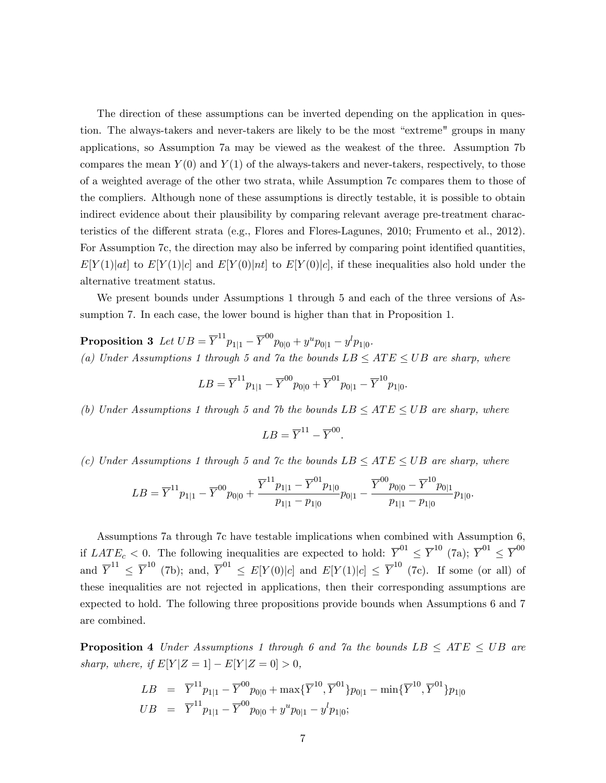The direction of these assumptions can be inverted depending on the application in question. The always-takers and never-takers are likely to be the most "extreme" groups in many applications, so Assumption 7a may be viewed as the weakest of the three. Assumption 7b compares the mean  $Y(0)$  and  $Y(1)$  of the always-takers and never-takers, respectively, to those of a weighted average of the other two strata, while Assumption 7c compares them to those of the compliers. Although none of these assumptions is directly testable, it is possible to obtain indirect evidence about their plausibility by comparing relevant average pre-treatment characteristics of the different strata (e.g., Flores and Flores-Lagunes, 2010; Frumento et al., 2012). For Assumption 7c, the direction may also be inferred by comparing point identified quantities,  $E[Y(1)|at]$  to  $E[Y(1)|c]$  and  $E[Y(0)|at]$  to  $E[Y(0)|c]$ , if these inequalities also hold under the alternative treatment status.

We present bounds under Assumptions 1 through 5 and each of the three versions of Assumption 7. In each case, the lower bound is higher than that in Proposition 1.

 $\textbf{Proposition 3 \ \ } Let \; UB = \overline{Y}^{11} p_{1|1} - \overline{Y}^{00} p_{0|0} + y^u p_{0|1} - y^l p_{1|0}.$ (a) Under Assumptions 1 through 5 and 7a the bounds  $LB \leq ATE \leq UB$  are sharp, where

$$
LB = \overline{Y}^{11} p_{1|1} - \overline{Y}^{00} p_{0|0} + \overline{Y}^{01} p_{0|1} - \overline{Y}^{10} p_{1|0}.
$$

(b) Under Assumptions 1 through 5 and 7b the bounds  $LB \leq ATE \leq UB$  are sharp, where

$$
LB = \overline{Y}^{11} - \overline{Y}^{00}.
$$

(c) Under Assumptions 1 through 5 and 7c the bounds  $LB \leq ATE \leq UB$  are sharp, where

$$
LB = \overline{Y}^{11} p_{1|1} - \overline{Y}^{00} p_{0|0} + \frac{\overline{Y}^{11} p_{1|1} - \overline{Y}^{01} p_{1|0}}{p_{1|1} - p_{1|0}} p_{0|1} - \frac{\overline{Y}^{00} p_{0|0} - \overline{Y}^{10} p_{0|1}}{p_{1|1} - p_{1|0}} p_{1|0}.
$$

Assumptions 7a through 7c have testable implications when combined with Assumption 6, if  $LATE_c < 0$ . The following inequalities are expected to hold:  $\overline{Y}^{01} \leq \overline{Y}^{10}$  (7a);  $\overline{Y}^{01} \leq \overline{Y}^{00}$ and  $\overline{Y}^{11} \leq \overline{Y}^{10}$  (7b); and,  $\overline{Y}^{01} \leq E[Y(0)|c]$  and  $E[Y(1)|c] \leq \overline{Y}^{10}$  (7c). If some (or all) of these inequalities are not rejected in applications, then their corresponding assumptions are expected to hold. The following three propositions provide bounds when Assumptions 6 and 7 are combined.

**Proposition 4** Under Assumptions 1 through 6 and 7a the bounds  $LB \leq ATE \leq UB$  are sharp, where, if  $E[Y|Z = 1] - E[Y|Z = 0] > 0$ ,

$$
LB = \overline{Y}^{11} p_{1|1} - \overline{Y}^{00} p_{0|0} + \max{\{\overline{Y}^{10}, \overline{Y}^{01}\} p_{0|1} - \min{\{\overline{Y}^{10}, \overline{Y}^{01}\} p_{1|0}}
$$
  

$$
UB = \overline{Y}^{11} p_{1|1} - \overline{Y}^{00} p_{0|0} + y^u p_{0|1} - y^l p_{1|0};
$$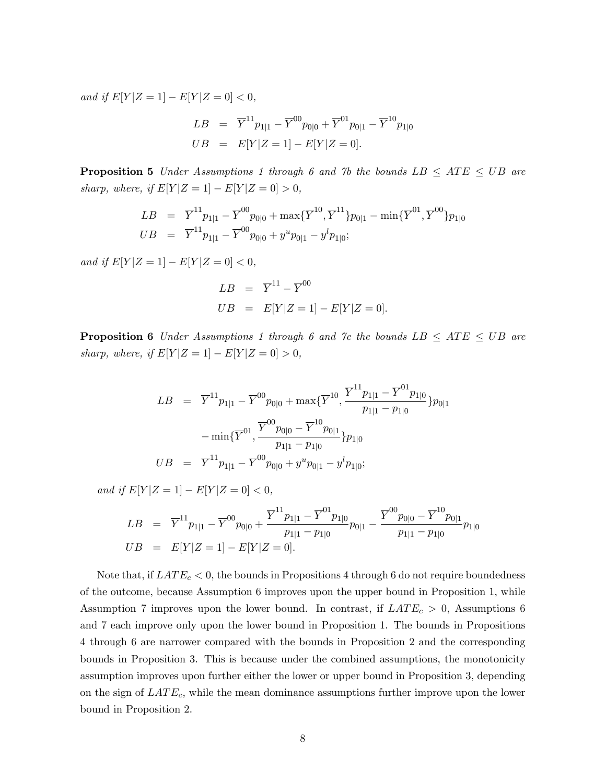and if  $E[Y|Z = 1] - E[Y|Z = 0] < 0$ ,

$$
LB = \overline{Y}^{11} p_{1|1} - \overline{Y}^{00} p_{0|0} + \overline{Y}^{01} p_{0|1} - \overline{Y}^{10} p_{1|0}
$$
  

$$
UB = E[Y|Z=1] - E[Y|Z=0].
$$

**Proposition 5** Under Assumptions 1 through 6 and 7b the bounds  $LB \leq ATE \leq UB$  are sharp, where, if  $E[Y|Z = 1] - E[Y|Z = 0] > 0$ ,

$$
LB = \overline{Y}^{11} p_{1|1} - \overline{Y}^{00} p_{0|0} + \max{\{\overline{Y}^{10}, \overline{Y}^{11}\} p_{0|1} - \min{\{\overline{Y}^{01}, \overline{Y}^{00}\} p_{1|0}}
$$
  

$$
UB = \overline{Y}^{11} p_{1|1} - \overline{Y}^{00} p_{0|0} + y^u p_{0|1} - y^l p_{1|0};
$$

and if  $E[Y|Z = 1] - E[Y|Z = 0] < 0$ ,

$$
LB = \overline{Y}^{11} - \overline{Y}^{00}
$$
  

$$
UB = E[Y|Z = 1] - E[Y|Z = 0].
$$

**Proposition 6** Under Assumptions 1 through 6 and 7c the bounds  $LB \leq ATE \leq UB$  are sharp, where, if  $E[Y|Z = 1] - E[Y|Z = 0] > 0$ ,

$$
LB = \overline{Y}^{11} p_{1|1} - \overline{Y}^{00} p_{0|0} + \max{\{\overline{Y}^{10}, \frac{\overline{Y}^{11} p_{1|1} - \overline{Y}^{01} p_{1|0}}{p_{1|1} - p_{1|0}}\}} p_{0|1}
$$

$$
- \min{\{\overline{Y}^{01}, \frac{\overline{Y}^{00} p_{0|0} - \overline{Y}^{10} p_{0|1}}{p_{1|1} - p_{1|0}}\}} p_{1|0}
$$

$$
UB = \overline{Y}^{11} p_{1|1} - \overline{Y}^{00} p_{0|0} + y^{u} p_{0|1} - y^{l} p_{1|0};
$$

and if  $E[Y|Z = 1] - E[Y|Z = 0] < 0$ ,

$$
LB = \overline{Y}^{11} p_{1|1} - \overline{Y}^{00} p_{0|0} + \frac{\overline{Y}^{11} p_{1|1} - \overline{Y}^{01} p_{1|0}}{p_{1|1} - p_{1|0}} p_{0|1} - \frac{\overline{Y}^{00} p_{0|0} - \overline{Y}^{10} p_{0|1}}{p_{1|1} - p_{1|0}} p_{1|0}
$$
  
\n
$$
UB = E[Y|Z = 1] - E[Y|Z = 0].
$$

Note that, if  $LATE_c < 0$ , the bounds in Propositions 4 through 6 do not require boundedness of the outcome, because Assumption 6 improves upon the upper bound in Proposition 1, while Assumption 7 improves upon the lower bound. In contrast, if  $LATE_c > 0$ , Assumptions 6 and 7 each improve only upon the lower bound in Proposition 1. The bounds in Propositions 4 through 6 are narrower compared with the bounds in Proposition 2 and the corresponding bounds in Proposition 3. This is because under the combined assumptions, the monotonicity assumption improves upon further either the lower or upper bound in Proposition 3, depending on the sign of  $LATE_c$ , while the mean dominance assumptions further improve upon the lower bound in Proposition 2.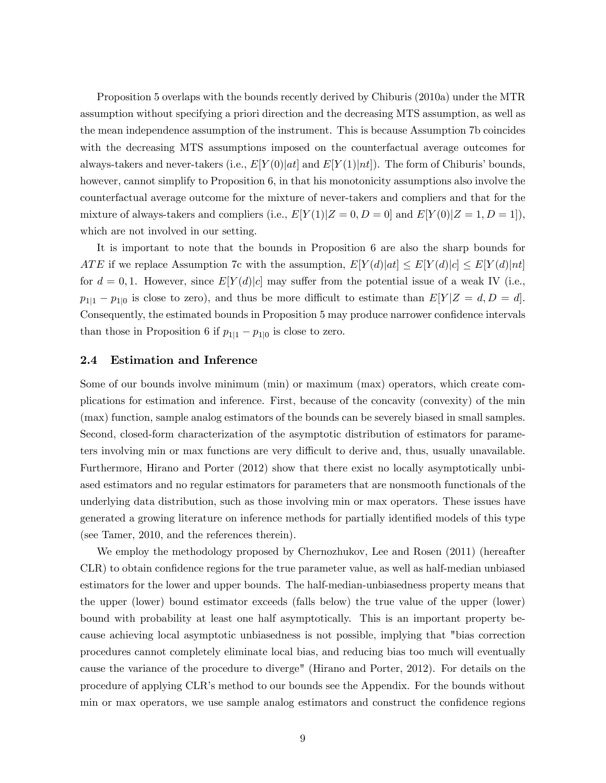Proposition 5 overlaps with the bounds recently derived by Chiburis (2010a) under the MTR assumption without specifying a priori direction and the decreasing MTS assumption, as well as the mean independence assumption of the instrument. This is because Assumption 7b coincides with the decreasing MTS assumptions imposed on the counterfactual average outcomes for always-takers and never-takers (i.e.,  $E[Y(0)|at]$  and  $E[Y(1)|nt]$ ). The form of Chiburis' bounds, however, cannot simplify to Proposition 6, in that his monotonicity assumptions also involve the counterfactual average outcome for the mixture of never-takers and compliers and that for the mixture of always-takers and compliers (i.e.,  $E[Y(1)|Z=0,D=0]$  and  $E[Y(0)|Z=1,D=1]$ ), which are not involved in our setting.

It is important to note that the bounds in Proposition 6 are also the sharp bounds for ATE if we replace Assumption 7c with the assumption,  $E[Y(d)|at] \leq E[Y(d)|c] \leq E[Y(d)|nt]$ for  $d = 0, 1$ . However, since  $E[Y(d)|c]$  may suffer from the potential issue of a weak IV (i.e.,  $p_{1|1} - p_{1|0}$  is close to zero), and thus be more difficult to estimate than  $E[Y|Z=d, D=d]$ . Consequently, the estimated bounds in Proposition 5 may produce narrower confidence intervals than those in Proposition 6 if  $p_{1|1} - p_{1|0}$  is close to zero.

#### 2.4 Estimation and Inference

Some of our bounds involve minimum (min) or maximum (max) operators, which create complications for estimation and inference. First, because of the concavity (convexity) of the min (max) function, sample analog estimators of the bounds can be severely biased in small samples. Second, closed-form characterization of the asymptotic distribution of estimators for parameters involving min or max functions are very difficult to derive and, thus, usually unavailable. Furthermore, Hirano and Porter (2012) show that there exist no locally asymptotically unbiased estimators and no regular estimators for parameters that are nonsmooth functionals of the underlying data distribution, such as those involving min or max operators. These issues have generated a growing literature on inference methods for partially identified models of this type (see Tamer, 2010, and the references therein).

We employ the methodology proposed by Chernozhukov, Lee and Rosen (2011) (hereafter CLR) to obtain conÖdence regions for the true parameter value, as well as half-median unbiased estimators for the lower and upper bounds. The half-median-unbiasedness property means that the upper (lower) bound estimator exceeds (falls below) the true value of the upper (lower) bound with probability at least one half asymptotically. This is an important property because achieving local asymptotic unbiasedness is not possible, implying that "bias correction procedures cannot completely eliminate local bias, and reducing bias too much will eventually cause the variance of the procedure to diverge" (Hirano and Porter, 2012). For details on the procedure of applying CLRís method to our bounds see the Appendix. For the bounds without min or max operators, we use sample analog estimators and construct the confidence regions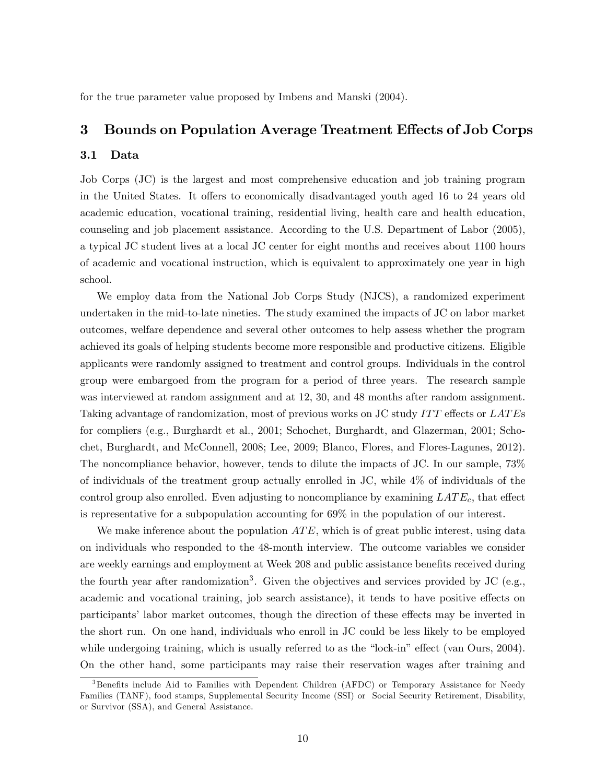for the true parameter value proposed by Imbens and Manski (2004).

# 3 Bounds on Population Average Treatment Effects of Job Corps

## 3.1 Data

Job Corps (JC) is the largest and most comprehensive education and job training program in the United States. It offers to economically disadvantaged youth aged 16 to 24 years old academic education, vocational training, residential living, health care and health education, counseling and job placement assistance. According to the U.S. Department of Labor (2005), a typical JC student lives at a local JC center for eight months and receives about 1100 hours of academic and vocational instruction, which is equivalent to approximately one year in high school.

We employ data from the National Job Corps Study (NJCS), a randomized experiment undertaken in the mid-to-late nineties. The study examined the impacts of JC on labor market outcomes, welfare dependence and several other outcomes to help assess whether the program achieved its goals of helping students become more responsible and productive citizens. Eligible applicants were randomly assigned to treatment and control groups. Individuals in the control group were embargoed from the program for a period of three years. The research sample was interviewed at random assignment and at 12, 30, and 48 months after random assignment. Taking advantage of randomization, most of previous works on JC study ITT effects or LATEs for compliers (e.g., Burghardt et al., 2001; Schochet, Burghardt, and Glazerman, 2001; Schochet, Burghardt, and McConnell, 2008; Lee, 2009; Blanco, Flores, and Flores-Lagunes, 2012). The noncompliance behavior, however, tends to dilute the impacts of JC. In our sample, 73% of individuals of the treatment group actually enrolled in JC, while 4% of individuals of the control group also enrolled. Even adjusting to noncompliance by examining  $LATE_c$ , that effect is representative for a subpopulation accounting for 69% in the population of our interest.

We make inference about the population  $ATE$ , which is of great public interest, using data on individuals who responded to the 48-month interview. The outcome variables we consider are weekly earnings and employment at Week 208 and public assistance benefits received during the fourth year after randomization<sup>3</sup>. Given the objectives and services provided by JC (e.g., academic and vocational training, job search assistance), it tends to have positive effects on participants' labor market outcomes, though the direction of these effects may be inverted in the short run. On one hand, individuals who enroll in JC could be less likely to be employed while undergoing training, which is usually referred to as the "lock-in" effect (van Ours,  $2004$ ). On the other hand, some participants may raise their reservation wages after training and

<sup>&</sup>lt;sup>3</sup>Benefits include Aid to Families with Dependent Children (AFDC) or Temporary Assistance for Needy Families (TANF), food stamps, Supplemental Security Income (SSI) or Social Security Retirement, Disability, or Survivor (SSA), and General Assistance.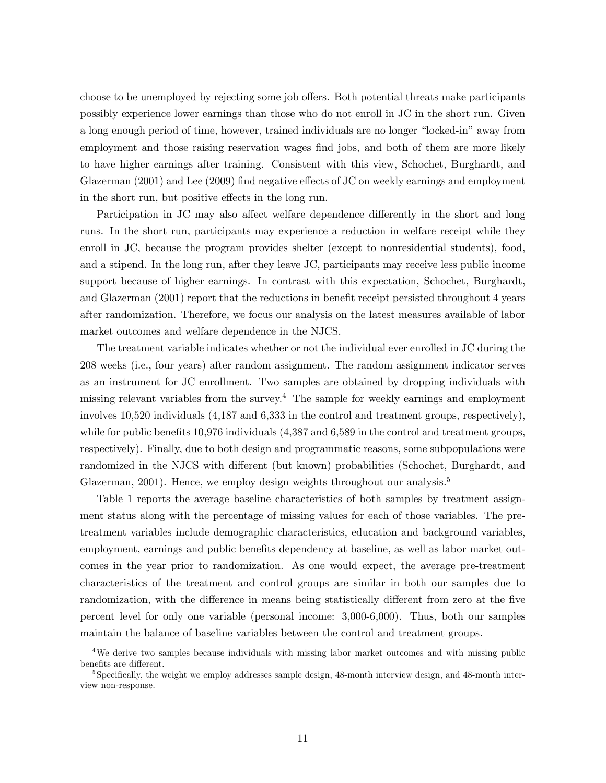choose to be unemployed by rejecting some job offers. Both potential threats make participants possibly experience lower earnings than those who do not enroll in JC in the short run. Given a long enough period of time, however, trained individuals are no longer "locked-in" away from employment and those raising reservation wages find jobs, and both of them are more likely to have higher earnings after training. Consistent with this view, Schochet, Burghardt, and Glazerman  $(2001)$  and Lee  $(2009)$  find negative effects of JC on weekly earnings and employment in the short run, but positive effects in the long run.

Participation in JC may also affect welfare dependence differently in the short and long runs. In the short run, participants may experience a reduction in welfare receipt while they enroll in JC, because the program provides shelter (except to nonresidential students), food, and a stipend. In the long run, after they leave JC, participants may receive less public income support because of higher earnings. In contrast with this expectation, Schochet, Burghardt, and Glazerman  $(2001)$  report that the reductions in benefit receipt persisted throughout 4 years after randomization. Therefore, we focus our analysis on the latest measures available of labor market outcomes and welfare dependence in the NJCS.

The treatment variable indicates whether or not the individual ever enrolled in JC during the 208 weeks (i.e., four years) after random assignment. The random assignment indicator serves as an instrument for JC enrollment. Two samples are obtained by dropping individuals with missing relevant variables from the survey.<sup>4</sup> The sample for weekly earnings and employment involves 10,520 individuals (4,187 and 6,333 in the control and treatment groups, respectively), while for public benefits  $10,976$  individuals  $(4,387 \text{ and } 6,589 \text{ in the control and treatment groups,})$ respectively). Finally, due to both design and programmatic reasons, some subpopulations were randomized in the NJCS with different (but known) probabilities (Schochet, Burghardt, and Glazerman, 2001). Hence, we employ design weights throughout our analysis.<sup>5</sup>

Table 1 reports the average baseline characteristics of both samples by treatment assignment status along with the percentage of missing values for each of those variables. The pretreatment variables include demographic characteristics, education and background variables, employment, earnings and public benefits dependency at baseline, as well as labor market outcomes in the year prior to randomization. As one would expect, the average pre-treatment characteristics of the treatment and control groups are similar in both our samples due to randomization, with the difference in means being statistically different from zero at the five percent level for only one variable (personal income: 3,000-6,000). Thus, both our samples maintain the balance of baseline variables between the control and treatment groups.

<sup>&</sup>lt;sup>4</sup>We derive two samples because individuals with missing labor market outcomes and with missing public benefits are different.

<sup>&</sup>lt;sup>5</sup>Specifically, the weight we employ addresses sample design, 48-month interview design, and 48-month interview non-response.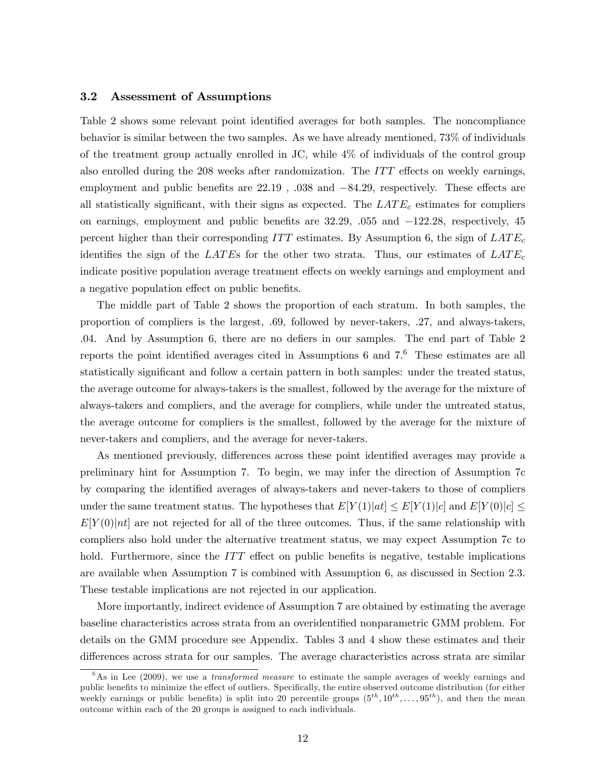#### 3.2 Assessment of Assumptions

Table 2 shows some relevant point identified averages for both samples. The noncompliance behavior is similar between the two samples. As we have already mentioned, 73% of individuals of the treatment group actually enrolled in JC, while 4% of individuals of the control group also enrolled during the  $208$  weeks after randomization. The  $ITT$  effects on weekly earnings, employment and public benefits are  $22.19$ ,  $.038$  and  $-84.29$ , respectively. These effects are all statistically significant, with their signs as expected. The  $LATE_c$  estimates for compliers on earnings, employment and public benefits are  $32.29, .055$  and  $-122.28$ , respectively, 45 percent higher than their corresponding ITT estimates. By Assumption 6, the sign of  $LATE_c$ identifies the sign of the  $LATE$ s for the other two strata. Thus, our estimates of  $LATE_c$ indicate positive population average treatment effects on weekly earnings and employment and a negative population effect on public benefits.

The middle part of Table 2 shows the proportion of each stratum. In both samples, the proportion of compliers is the largest, :69, followed by never-takers, :27, and always-takers, 04. And by Assumption 6, there are no defiers in our samples. The end part of Table 2. reports the point identified averages cited in Assumptions 6 and  $7<sup>6</sup>$  These estimates are all statistically significant and follow a certain pattern in both samples: under the treated status, the average outcome for always-takers is the smallest, followed by the average for the mixture of always-takers and compliers, and the average for compliers, while under the untreated status, the average outcome for compliers is the smallest, followed by the average for the mixture of never-takers and compliers, and the average for never-takers.

As mentioned previously, differences across these point identified averages may provide a preliminary hint for Assumption 7. To begin, we may infer the direction of Assumption 7c by comparing the identified averages of always-takers and never-takers to those of compliers under the same treatment status. The hypotheses that  $E[Y(1)|at] \leq E[Y(1)|c]$  and  $E[Y(0)|c] \leq$  $E[Y(0)]$ nt are not rejected for all of the three outcomes. Thus, if the same relationship with compliers also hold under the alternative treatment status, we may expect Assumption 7c to hold. Furthermore, since the  $ITT$  effect on public benefits is negative, testable implications are available when Assumption 7 is combined with Assumption 6, as discussed in Section 2.3. These testable implications are not rejected in our application.

More importantly, indirect evidence of Assumption 7 are obtained by estimating the average baseline characteristics across strata from an overidentified nonparametric GMM problem. For details on the GMM procedure see Appendix. Tables 3 and 4 show these estimates and their differences across strata for our samples. The average characteristics across strata are similar

 $6$ As in Lee (2009), we use a *transformed measure* to estimate the sample averages of weekly earnings and public benefits to minimize the effect of outliers. Specifically, the entire observed outcome distribution (for either weekly earnings or public benefits) is split into 20 percentile groups  $(5^{th}, 10^{th}, \ldots, 95^{th})$ , and then the mean outcome within each of the 20 groups is assigned to each individuals.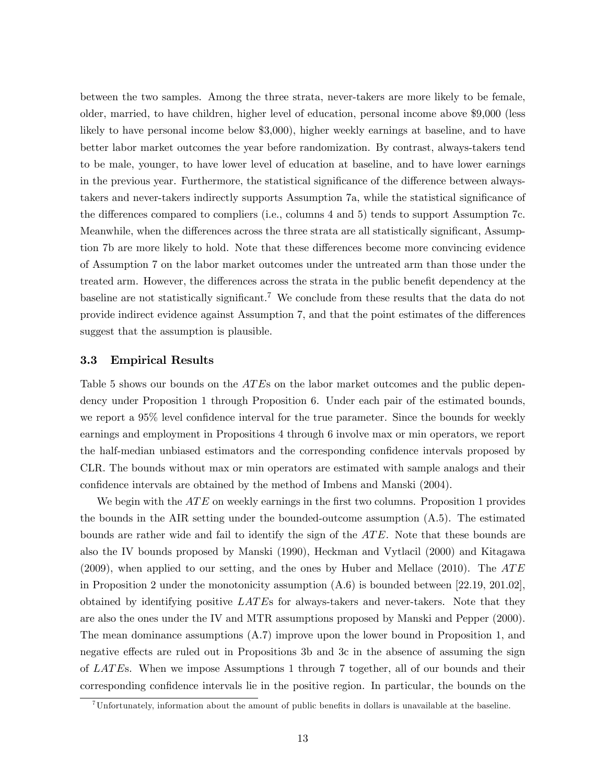between the two samples. Among the three strata, never-takers are more likely to be female, older, married, to have children, higher level of education, personal income above \$9,000 (less likely to have personal income below \$3,000), higher weekly earnings at baseline, and to have better labor market outcomes the year before randomization. By contrast, always-takers tend to be male, younger, to have lower level of education at baseline, and to have lower earnings in the previous year. Furthermore, the statistical significance of the difference between alwaystakers and never-takers indirectly supports Assumption 7a, while the statistical significance of the differences compared to compliers (i.e., columns  $4$  and  $5$ ) tends to support Assumption 7c. Meanwhile, when the differences across the three strata are all statistically significant, Assumption 7b are more likely to hold. Note that these differences become more convincing evidence of Assumption 7 on the labor market outcomes under the untreated arm than those under the treated arm. However, the differences across the strata in the public benefit dependency at the baseline are not statistically significant.<sup>7</sup> We conclude from these results that the data do not provide indirect evidence against Assumption 7, and that the point estimates of the differences suggest that the assumption is plausible.

#### 3.3 Empirical Results

Table 5 shows our bounds on the *ATE*s on the labor market outcomes and the public dependency under Proposition 1 through Proposition 6. Under each pair of the estimated bounds, we report a 95% level confidence interval for the true parameter. Since the bounds for weekly earnings and employment in Propositions 4 through 6 involve max or min operators, we report the half-median unbiased estimators and the corresponding confidence intervals proposed by CLR. The bounds without max or min operators are estimated with sample analogs and their confidence intervals are obtained by the method of Imbens and Manski (2004).

We begin with the  $ATE$  on weekly earnings in the first two columns. Proposition 1 provides the bounds in the AIR setting under the bounded-outcome assumption (A.5). The estimated bounds are rather wide and fail to identify the sign of the ATE. Note that these bounds are also the IV bounds proposed by Manski (1990), Heckman and Vytlacil (2000) and Kitagawa  $(2009)$ , when applied to our setting, and the ones by Huber and Mellace (2010). The ATE in Proposition 2 under the monotonicity assumption  $(A.6)$  is bounded between [22.19, 201.02], obtained by identifying positive  $LATEs$  for always-takers and never-takers. Note that they are also the ones under the IV and MTR assumptions proposed by Manski and Pepper (2000). The mean dominance assumptions (A.7) improve upon the lower bound in Proposition 1, and negative effects are ruled out in Propositions 3b and 3c in the absence of assuming the sign of LAT Es. When we impose Assumptions 1 through 7 together, all of our bounds and their corresponding confidence intervals lie in the positive region. In particular, the bounds on the

 $7$ Unfortunately, information about the amount of public benefits in dollars is unavailable at the baseline.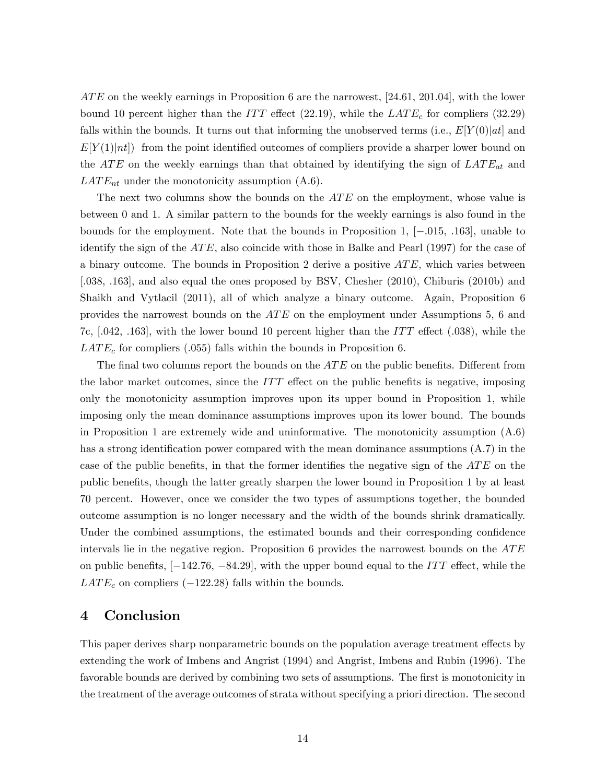$ATE$  on the weekly earnings in Proposition 6 are the narrowest, [24.61, 201.04], with the lower bound 10 percent higher than the ITT effect (22.19), while the  $LATE_c$  for compliers (32.29) falls within the bounds. It turns out that informing the unobserved terms (i.e.,  $E[Y(0)|at]$  and  $E[Y(1)|nt]$  from the point identified outcomes of compliers provide a sharper lower bound on the ATE on the weekly earnings than that obtained by identifying the sign of  $LATE_{at}$  and  $LATE_{nt}$  under the monotonicity assumption (A.6).

The next two columns show the bounds on the  $ATE$  on the employment, whose value is between 0 and 1. A similar pattern to the bounds for the weekly earnings is also found in the bounds for the employment. Note that the bounds in Proposition 1,  $[-.015, .163]$ , unable to identify the sign of the  $ATE$ , also coincide with those in Balke and Pearl (1997) for the case of a binary outcome. The bounds in Proposition 2 derive a positive  $ATE$ , which varies between [:038, :163], and also equal the ones proposed by BSV, Chesher (2010), Chiburis (2010b) and Shaikh and Vytlacil (2011), all of which analyze a binary outcome. Again, Proposition 6 provides the narrowest bounds on the  $ATE$  on the employment under Assumptions 5, 6 and 7c,  $[.042, .163]$ , with the lower bound 10 percent higher than the ITT effect ( $.038$ ), while the  $LATE_c$  for compliers (.055) falls within the bounds in Proposition 6.

The final two columns report the bounds on the  $ATE$  on the public benefits. Different from the labor market outcomes, since the  $ITT$  effect on the public benefits is negative, imposing only the monotonicity assumption improves upon its upper bound in Proposition 1, while imposing only the mean dominance assumptions improves upon its lower bound. The bounds in Proposition 1 are extremely wide and uninformative. The monotonicity assumption  $(A.6)$ has a strong identification power compared with the mean dominance assumptions  $(A.7)$  in the case of the public benefits, in that the former identifies the negative sign of the  $ATE$  on the public benefits, though the latter greatly sharpen the lower bound in Proposition 1 by at least 70 percent. However, once we consider the two types of assumptions together, the bounded outcome assumption is no longer necessary and the width of the bounds shrink dramatically. Under the combined assumptions, the estimated bounds and their corresponding confidence intervals lie in the negative region. Proposition 6 provides the narrowest bounds on the  $ATE$ on public benefits,  $[-142.76, -84.29]$ , with the upper bound equal to the ITT effect, while the  $LATE_c$  on compliers  $(-122.28)$  falls within the bounds.

# 4 Conclusion

This paper derives sharp nonparametric bounds on the population average treatment effects by extending the work of Imbens and Angrist (1994) and Angrist, Imbens and Rubin (1996). The favorable bounds are derived by combining two sets of assumptions. The first is monotonicity in the treatment of the average outcomes of strata without specifying a priori direction. The second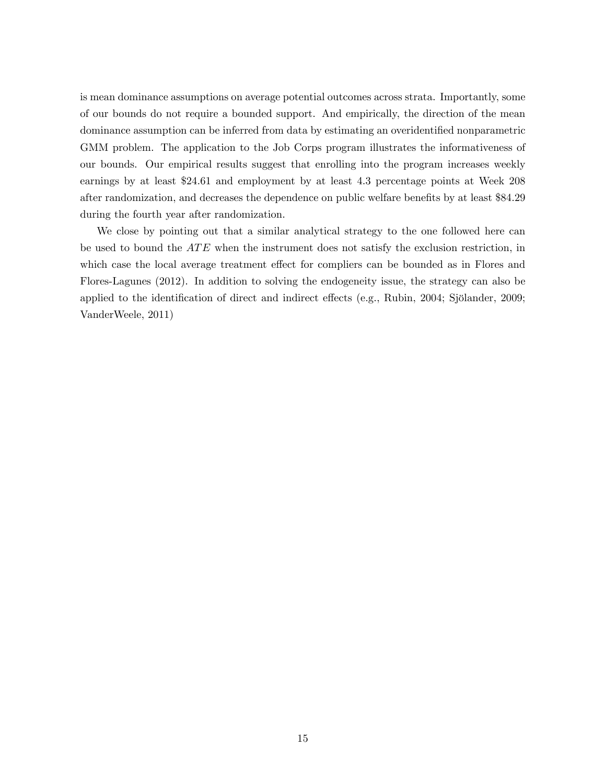is mean dominance assumptions on average potential outcomes across strata. Importantly, some of our bounds do not require a bounded support. And empirically, the direction of the mean dominance assumption can be inferred from data by estimating an overidentified nonparametric GMM problem. The application to the Job Corps program illustrates the informativeness of our bounds. Our empirical results suggest that enrolling into the program increases weekly earnings by at least \$24:61 and employment by at least 4:3 percentage points at Week 208 after randomization, and decreases the dependence on public welfare benefits by at least \$84.29 during the fourth year after randomization.

We close by pointing out that a similar analytical strategy to the one followed here can be used to bound the  $ATE$  when the instrument does not satisfy the exclusion restriction, in which case the local average treatment effect for compliers can be bounded as in Flores and Flores-Lagunes (2012). In addition to solving the endogeneity issue, the strategy can also be applied to the identification of direct and indirect effects (e.g., Rubin, 2004; Sjölander, 2009; VanderWeele, 2011)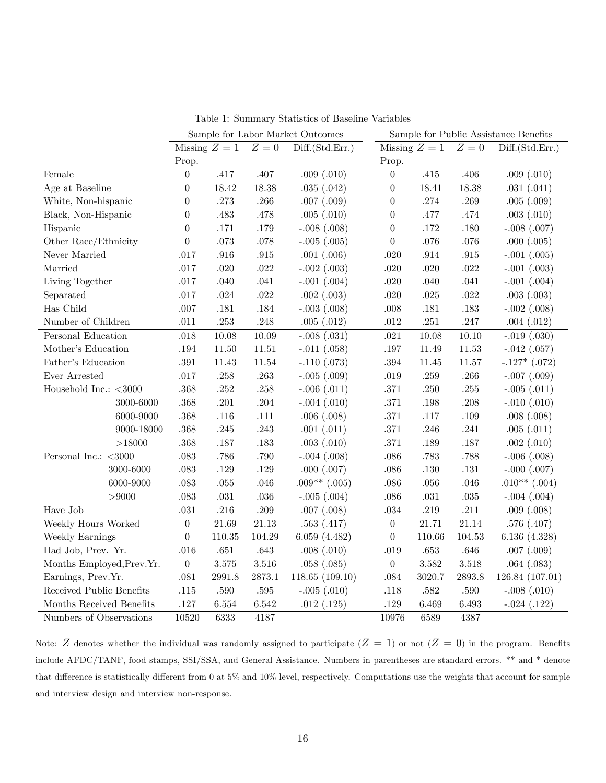|                            |                  | Sample for Labor Market Outcomes |           |                  |                  | Sample for Public Assistance Benefits |          |                   |
|----------------------------|------------------|----------------------------------|-----------|------------------|------------------|---------------------------------------|----------|-------------------|
|                            |                  | Missing $Z=1$                    | $Z=0$     | Diff.(Std.Err.)  |                  | Missing $Z=1$                         | $Z=0$    | Diff.(Std.Err.)   |
|                            | Prop.            |                                  |           |                  | Prop.            |                                       |          |                   |
| Female                     | $\overline{0}$   | .417                             | .407      | $.009$ $(.010)$  | $\theta$         | .415                                  | .406     | $.009$ $(.010)$   |
| Age at Baseline            | $\theta$         | 18.42                            | 18.38     | .035(.042)       | $\boldsymbol{0}$ | 18.41                                 | 18.38    | .031(.041)        |
| White, Non-hispanic        | $\theta$         | .273                             | $.266\,$  | $.007$ $(.009)$  | $\overline{0}$   | .274                                  | .269     | .005(.009)        |
| Black, Non-Hispanic        | $\theta$         | .483                             | .478      | .005(.010)       | $\overline{0}$   | .477                                  | .474     | $.003$ $(.010)$   |
| Hispanic                   | $\theta$         | .171                             | .179      | $-.008(.008)$    | $\boldsymbol{0}$ | .172                                  | .180     | $-.008(.007)$     |
| Other Race/Ethnicity       | $\boldsymbol{0}$ | .073                             | $.078\,$  | $-.005(.005)$    | $\boldsymbol{0}$ | .076                                  | $.076\,$ | .000(.005)        |
| Never Married              | .017             | .916                             | $.915\,$  | .001(.006)       | .020             | .914                                  | $.915\,$ | $-.001(.005)$     |
| Married                    | .017             | .020                             | $.022\,$  | $-.002$ $(.003)$ | .020             | .020                                  | .022     | $-.001(.003)$     |
| Living Together            | $.017\,$         | .040                             | $.041$    | $-.001(.004)$    | .020             | .040                                  | .041     | $-.001(.004)$     |
| Separated                  | $.017\,$         | .024                             | $.022\,$  | $.002$ $(.003)$  | $.020\,$         | .025                                  | $.022\,$ | $.003$ $(.003)$   |
| Has Child                  | .007             | $.181\,$                         | $.184\,$  | $-.003(.008)$    | .008             | .181                                  | .183     | $-.002(.008)$     |
| Number of Children         | $.011\,$         | .253                             | .248      | .005(.012)       | .012             | .251                                  | .247     | .004(.012)        |
| Personal Education         | .018             | 10.08                            | 10.09     | $-.008(.031)$    | $.021\,$         | 10.08                                 | 10.10    | $-.019(.030)$     |
| Mother's Education         | $.194\,$         | 11.50                            | $11.51\,$ | $-.011(.058)$    | $.197\,$         | 11.49                                 | 11.53    | $-.042$ $(.057)$  |
| Father's Education         | $.391\,$         | 11.43                            | 11.54     | $-.110(.073)$    | $.394\,$         | 11.45                                 | 11.57    | $-.127*$ $(.072)$ |
| Ever Arrested              | .017             | .258                             | $.263\,$  | $-.005(.009)$    | $.019\,$         | .259                                  | .266     | $-.007(.009)$     |
| Household Inc.: $<$ 3000   | .368             | .252                             | .258      | $-.006(.011)$    | $.371\,$         | .250                                  | .255     | $-.005(.011)$     |
| 3000-6000                  | $.368\,$         | $.201\,$                         | $.204\,$  | $-.004(.010)$    | $.371\,$         | .198                                  | .208     | $-.010(.010)$     |
| 6000-9000                  | .368             | .116                             | .111      | .006(.008)       | $.371\,$         | .117                                  | .109     | .008(.008)        |
| 9000-18000                 | .368             | .245                             | $.243\,$  | .001(.011)       | $.371\,$         | .246                                  | .241     | .005(.011)        |
| >18000                     | .368             | .187                             | .183      | $.003$ $(.010)$  | $.371\,$         | .189                                  | .187     | .002(.010)        |
| Personal Inc.: $<$ 3000    | .083             | .786                             | .790      | $-.004(.008)$    | .086             | .783                                  | .788     | $-.006(.008)$     |
| 3000-6000                  | $.083\,$         | .129                             | $.129\,$  | .000(.007)       | .086             | $.130\,$                              | $.131\,$ | $-.000(.007)$     |
| 6000-9000                  | $.083\,$         | $.055\,$                         | $.046\,$  | $.009**(.005)$   | .086             | .056                                  | $.046\,$ | $.010**(.004)$    |
| > 9000                     | .083             | $.031\,$                         | $.036\,$  | $-.005(.004)$    | .086             | .031                                  | $.035\,$ | $-.004(.004)$     |
| Have Job                   | $.031\,$         | .216                             | $.209\,$  | $.007$ $(.008)$  | .034             | .219                                  | .211     | $.009$ $(.008)$   |
| Weekly Hours Worked        | $\boldsymbol{0}$ | 21.69                            | 21.13     | .563(.417)       | $\boldsymbol{0}$ | 21.71                                 | 21.14    | .576(.407)        |
| Weekly Earnings            | $\boldsymbol{0}$ | 110.35                           | 104.29    | 6.059(4.482)     | $\boldsymbol{0}$ | 110.66                                | 104.53   | 6.136(4.328)      |
| Had Job, Prev. Yr.         | .016             | $.651\,$                         | $.643\,$  | .008(.010)       | .019             | $.653\,$                              | $.646\,$ | $.007$ $(.009)$   |
| Months Employed, Prev. Yr. | $\boldsymbol{0}$ | $3.575\,$                        | $3.516\,$ | .058(.085)       | $\boldsymbol{0}$ | 3.582                                 | 3.518    | .064(.083)        |
| Earnings, Prev.Yr.         | .081             | 2991.8                           | 2873.1    | 118.65(109.10)   | .084             | 3020.7                                | 2893.8   | 126.84 (107.01)   |
| Received Public Benefits   | .115             | .590                             | .595      | $-.005(.010)$    | $.118$           | .582                                  | .590     | $-.008(.010)$     |
| Months Received Benefits   | $.127\,$         | $6.554\,$                        | 6.542     | .012(.125)       | $.129\,$         | 6.469                                 | 6.493    | $-.024(.122)$     |
| Numbers of Observations    | 10520            | 6333                             | 4187      |                  | 10976            | 6589                                  | 4387     |                   |

Table 1: Summary Statistics of Baseline Variables

Note: Z denotes whether the individual was randomly assigned to participate  $(Z = 1)$  or not  $(Z = 0)$  in the program. Benefits include AFDC/TANF, food stamps, SSI/SSA, and General Assistance. Numbers in parentheses are standard errors. \*\* and \* denote that difference is statistically different from 0 at  $5\%$  and  $10\%$  level, respectively. Computations use the weights that account for sample and interview design and interview non-response.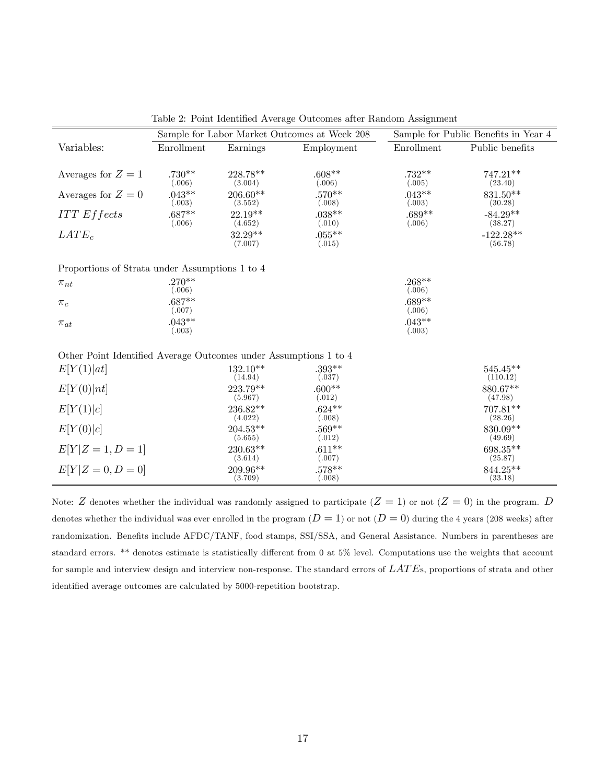|                                                                  |                    |                       | Sample for Labor Market Outcomes at Week 208 |                    | Sample for Public Benefits in Year 4 |  |
|------------------------------------------------------------------|--------------------|-----------------------|----------------------------------------------|--------------------|--------------------------------------|--|
| Variables:                                                       | Enrollment         | Earnings              | Employment                                   | Enrollment         | Public benefits                      |  |
|                                                                  |                    |                       |                                              |                    |                                      |  |
| Averages for $Z=1$                                               | $.730**$<br>(.006) | 228.78**<br>(3.004)   | $.608**$<br>(.006)                           | $.732**$<br>(.005) | 747.21**<br>(23.40)                  |  |
| Averages for $Z=0$                                               | $.043**$<br>(.003) | 206.60**<br>(3.552)   | $.570**$<br>(.008)                           | $.043**$<br>(.003) | 831.50**<br>(30.28)                  |  |
| <b>ITT</b> Effects                                               | $.687**$<br>(.006) | $22.19**$<br>(4.652)  | $.038**$<br>(.010)                           | $.689**$<br>(.006) | $-84.29**$<br>(38.27)                |  |
| $LATE_c$                                                         |                    | $32.29**$<br>(7.007)  | $.055***$<br>(.015)                          |                    | $-122.28**$<br>(56.78)               |  |
| Proportions of Strata under Assumptions 1 to 4                   |                    |                       |                                              |                    |                                      |  |
| $\pi_{nt}$                                                       | $.270**$<br>(.006) |                       |                                              | $.268**$<br>(.006) |                                      |  |
| $\pi_c$                                                          | $.687**$<br>(.007) |                       |                                              | $.689**$<br>(.006) |                                      |  |
| $\pi_{at}$                                                       | $.043**$<br>(.003) |                       |                                              | $.043**$<br>(.003) |                                      |  |
| Other Point Identified Average Outcomes under Assumptions 1 to 4 |                    |                       |                                              |                    |                                      |  |
| E[Y(1) at]                                                       |                    | $132.10**$<br>(14.94) | $.393**$<br>(.037)                           |                    | $545.45***$<br>(110.12)              |  |
| E[Y(0) nt]                                                       |                    | 223.79**<br>(5.967)   | $.600**$<br>(.012)                           |                    | 880.67**<br>(47.98)                  |  |
| E[Y(1) c]                                                        |                    | 236.82**<br>(4.022)   | $.624**$<br>(.008)                           |                    | 707.81**<br>(28.26)                  |  |
| E[Y(0) c]                                                        |                    | $204.53**$<br>(5.655) | $.569**$<br>(.012)                           |                    | $830.09**$<br>(49.69)                |  |
| $E[Y Z = 1, D = 1]$                                              |                    | 230.63**<br>(3.614)   | $.611**$<br>(.007)                           |                    | 698.35**<br>(25.87)                  |  |
| $E[Y Z=0,D=0]$                                                   |                    | 209.96**<br>(3.709)   | $.578**$<br>(.008)                           |                    | $844.25**$<br>(33.18)                |  |

Table 2: Point Identified Average Outcomes after Random Assignment

Note: Z denotes whether the individual was randomly assigned to participate  $(Z = 1)$  or not  $(Z = 0)$  in the program. D denotes whether the individual was ever enrolled in the program  $(D = 1)$  or not  $(D = 0)$  during the 4 years (208 weeks) after randomization. Benefits include AFDC/TANF, food stamps, SSI/SSA, and General Assistance. Numbers in parentheses are standard errors. \*\* denotes estimate is statistically different from 0 at  $5\%$  level. Computations use the weights that account for sample and interview design and interview non-response. The standard errors of  $LATE$ s, proportions of strata and other identified average outcomes are calculated by 5000-repetition bootstrap.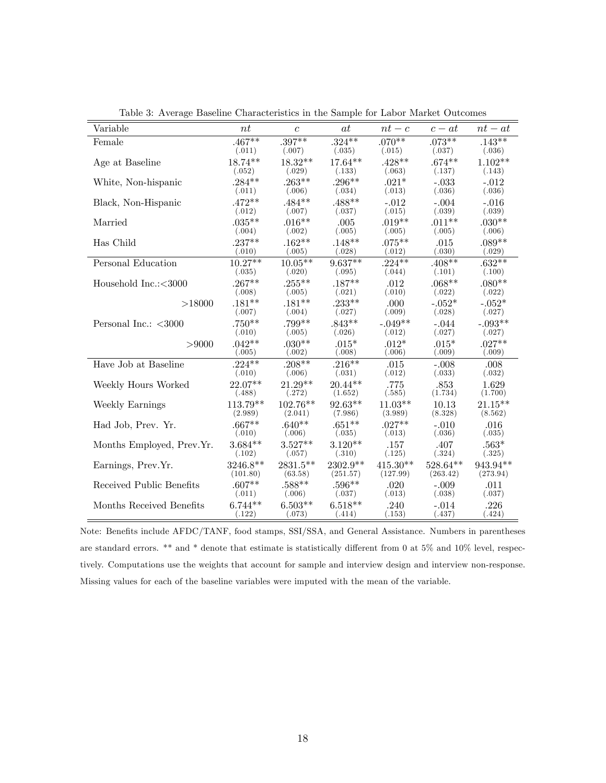| Variable                  | nt         | $\boldsymbol{c}$ | at        | $nt-c$     | $c - at$   | $nt-at$    |
|---------------------------|------------|------------------|-----------|------------|------------|------------|
| Female                    | $.467**$   | $.397**$         | $.324***$ | $.070**$   | $.073**$   | $.143**$   |
|                           | (.011)     | (.007)           | (.035)    | (.015)     | (.037)     | (.036)     |
| Age at Baseline           | 18.74**    | $18.32**$        | $17.64**$ | $.428**$   | $.674**$   | $1.102**$  |
|                           | (.052)     | (.029)           | (.133)    | (.063)     | (.137)     | (.143)     |
| White, Non-hispanic       | $.284***$  | $.263**$         | $.296**$  | $.021*$    | $-.033$    | $-.012$    |
|                           | (.011)     | (.006)           | (.034)    | (.013)     | (.036)     | (.036)     |
| Black, Non-Hispanic       | $.472**$   | $.484**$         | .488**    | $-.012$    | $-.004$    | $-.016$    |
|                           | (.012)     | (.007)           | (.037)    | (.015)     | (.039)     | (.039)     |
| Married                   | $.035***$  | $.016**$         | .005      | $.019**$   | $.011**$   | $.030**$   |
|                           | (.004)     | (.002)           | (.005)    | (.005)     | (.005)     | (.006)     |
| Has Child                 | $.237**$   | $.162**$         | $.148**$  | $.075***$  | .015       | $.089**$   |
|                           | (.010)     | (.005)           | (.028)    | (.012)     | (.030)     | (.029)     |
| Personal Education        | $10.27**$  | $10.05**$        | $9.637**$ | $.224***$  | $.408**$   | $.632**$   |
|                           | (.035)     | (.020)           | (.095)    | (.044)     | (.101)     | (.100)     |
| Household Inc.:<3000      | $.267**$   | $.255***$        | $.187**$  | .012       | $.068**$   | $.080**$   |
|                           | (.008)     | (.005)           | (.021)    | (.010)     | (.022)     | (.022)     |
| >18000                    | $.181**$   | $.181**$         | $.233***$ | .000       | $-.052*$   | $-.052*$   |
|                           | (.007)     | (.004)           | (.027)    | (.009)     | (.028)     | (.027)     |
| Personal Inc.: $<$ 3000   | $.750**$   | $.799**$         | $.843**$  | $-.049**$  | $-.044$    | $-.093**$  |
|                           | (.010)     | (.005)           | (.026)    | (.012)     | (.027)     | (.027)     |
| > 9000                    | $.042**$   | $.030**$         | $.015*$   | $.012*$    | $.015*$    | $.027**$   |
|                           | (.005)     | (.002)           | (.008)    | (.006)     | (.009)     | (.009)     |
| Have Job at Baseline      | $.224***$  | $.208**$         | $.216***$ | .015       | $-.008$    | .008       |
|                           | (.010)     | (.006)           | (.031)    | (.012)     | (.033)     | (.032)     |
| Weekly Hours Worked       | 22.07**    | $21.29**$        | $20.44**$ | .775       | .853       | 1.629      |
|                           | (.488)     | (.272)           | (1.652)   | (.585)     | (1.734)    | (1.700)    |
| Weekly Earnings           | $113.79**$ | $102.76**$       | 92.63**   | $11.03**$  | 10.13      | $21.15***$ |
|                           | (2.989)    | (2.041)          | (7.986)   | (3.989)    | (8.328)    | (8.562)    |
| Had Job, Prev. Yr.        | $.667**$   | $.640**$         | $.651**$  | $.027**$   | $-.010$    | .016       |
|                           | (.010)     | (.006)           | (.035)    | (.013)     | (.036)     | (.035)     |
| Months Employed, Prev.Yr. | $3.684**$  | $3.527**$        | $3.120**$ | .157       | .407       | $.563*$    |
|                           | (.102)     | (.057)           | (.310)    | (.125)     | (.324)     | (.325)     |
| Earnings, Prev.Yr.        | 3246.8**   | $2831.5***$      | 2302.9**  | $415.30**$ | $528.64**$ | 943.94**   |
|                           | (101.80)   | (63.58)          | (251.57)  | (127.99)   | (263.42)   | (273.94)   |
| Received Public Benefits  | $.607**$   | $.588**$         | $.596**$  | .020       | $-.009$    | .011       |
|                           | (.011)     | (.006)           | (.037)    | (.013)     | (.038)     | (.037)     |
| Months Received Benefits  | $6.744**$  | $6.503**$        | $6.518**$ | .240       | $-.014$    | .226       |
|                           | (.122)     | (.073)           | (.414)    | (.153)     | (.437)     | (.424)     |

Table 3: Average Baseline Characteristics in the Sample for Labor Market Outcomes

Note: Benefits include AFDC/TANF, food stamps, SSI/SSA, and General Assistance. Numbers in parentheses are standard errors. \*\* and \* denote that estimate is statistically different from 0 at  $5\%$  and  $10\%$  level, respectively. Computations use the weights that account for sample and interview design and interview non-response. Missing values for each of the baseline variables were imputed with the mean of the variable.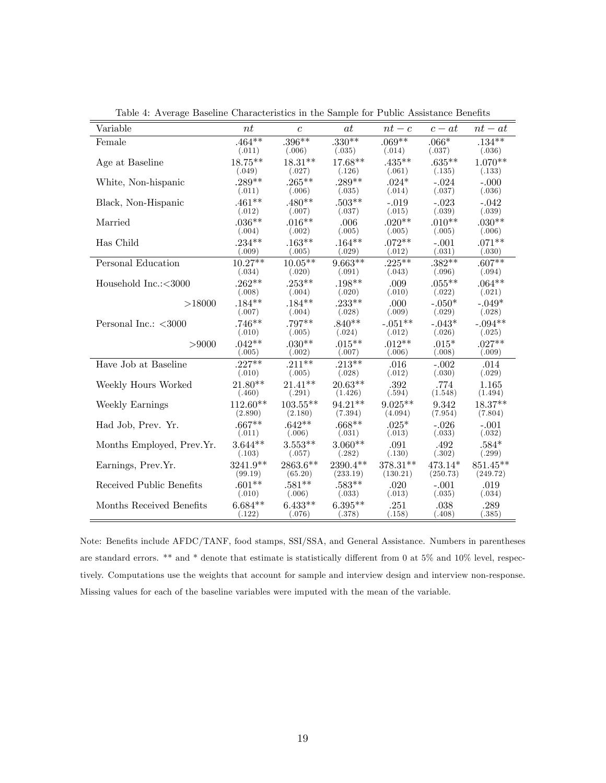| Variable                  | nt         | $\boldsymbol{c}$ | at        | $nt-c$    | $c - at$  | $nt-at$   |
|---------------------------|------------|------------------|-----------|-----------|-----------|-----------|
| Female                    | $.464**$   | $.396**$         | $.330**$  | $.069**$  | $.066*$   | $.134***$ |
|                           | (.011)     | (.006)           | (.035)    | (.014)    | (.037)    | (.036)    |
| Age at Baseline           | 18.75**    | $18.31**$        | 17.68**   | $.435***$ | $.635***$ | $1.070**$ |
|                           | (.049)     | (.027)           | (.126)    | (.061)    | (.135)    | (.133)    |
| White, Non-hispanic       | $.289**$   | $.265***$        | $.289**$  | $.024*$   | $-.024$   | $-.000$   |
|                           | (.011)     | (.006)           | (.035)    | (.014)    | (.037)    | (.036)    |
| Black, Non-Hispanic       | $.461**$   | $.480**$         | $.503**$  | $-.019$   | $-.023$   | $-.042$   |
|                           | (.012)     | (.007)           | (.037)    | (.015)    | (.039)    | (.039)    |
| Married                   | $.036**$   | $.016**$         | .006      | $.020**$  | $.010**$  | $.030**$  |
|                           | (.004)     | (.002)           | (.005)    | (.005)    | (.005)    | (.006)    |
| Has Child                 | $.234***$  | $.163**$         | $.164***$ | $.072**$  | $-.001$   | $.071**$  |
|                           | (.009)     | (.005)           | (.029)    | (.012)    | (.031)    | (.030)    |
| Personal Education        | $10.27**$  | $10.05**$        | $9.663**$ | $.225***$ | $.382**$  | $.607**$  |
|                           | (.034)     | (.020)           | (.091)    | (.043)    | (.096)    | (.094)    |
| Household $Inc::<3000$    | $.262**$   | $.253***$        | $.198**$  | .009      | $.055***$ | $.064***$ |
|                           | (.008)     | (.004)           | (.020)    | (.010)    | (.022)    | (.021)    |
| >18000                    | $.184***$  | $.184***$        | $.233***$ | .000      | $-.050*$  | $-.049*$  |
|                           | (.007)     | (.004)           | (.028)    | (.009)    | (.029)    | (.028)    |
| Personal Inc.: $<$ 3000   | $.746**$   | $.797**$         | $.840**$  | $-.051**$ | $-.043*$  | $-.094**$ |
|                           | (.010)     | (.005)           | (.024)    | (.012)    | (.026)    | (.025)    |
| > 9000                    | $.042**$   | $.030**$         | $.015***$ | $.012**$  | $.015*$   | $.027**$  |
|                           | (.005)     | (.002)           | (.007)    | (.006)    | (.008)    | (.009)    |
| Have Job at Baseline      | $.227**$   | $.211***$        | $.213***$ | .016      | $-.002$   | .014      |
|                           | (.010)     | (.005)           | (.028)    | (.012)    | (.030)    | (.029)    |
| Weekly Hours Worked       | $21.80**$  | $21.41**$        | $20.63**$ | .392      | .774      | 1.165     |
|                           | (.460)     | (.291)           | (1.426)   | (.594)    | (1.548)   | (1.494)   |
| Weekly Earnings           | $112.60**$ | $103.55**$       | $94.21**$ | $9.025**$ | 9.342     | $18.37**$ |
|                           | (2.890)    | (2.180)          | (7.394)   | (4.094)   | (7.954)   | (7.804)   |
| Had Job, Prev. Yr.        | $.667**$   | $.642**$         | $.668**$  | $.025*$   | $-.026$   | $-.001$   |
|                           | (.011)     | (.006)           | (.031)    | (.013)    | (.033)    | (.032)    |
| Months Employed, Prev.Yr. | $3.644**$  | $3.553**$        | $3.060**$ | .091      | .492      | $.584*$   |
|                           | (.103)     | (.057)           | (.282)    | (.130)    | (.302)    | (.299)    |
| Earnings, Prev.Yr.        | 3241.9**   | 2863.6**         | 2390.4**  | 378.31**  | $473.14*$ | 851.45**  |
|                           | (99.19)    | (65.20)          | (233.19)  | (130.21)  | (250.73)  | (249.72)  |
| Received Public Benefits  | $.601**$   | $.581**$         | $.583**$  | .020      | $-.001$   | .019      |
|                           | (.010)     | (.006)           | (.033)    | (.013)    | (.035)    | (.034)    |
| Months Received Benefits  | $6.684**$  | $6.433**$        | $6.395**$ | .251      | .038      | .289      |
|                           | (.122)     | (.076)           | (.378)    | (.158)    | (.408)    | (.385)    |

Table 4: Average Baseline Characteristics in the Sample for Public Assistance Benefits

Note: Benefits include AFDC/TANF, food stamps, SSI/SSA, and General Assistance. Numbers in parentheses are standard errors. \*\* and \* denote that estimate is statistically different from 0 at 5% and 10% level, respectively. Computations use the weights that account for sample and interview design and interview non-response. Missing values for each of the baseline variables were imputed with the mean of the variable.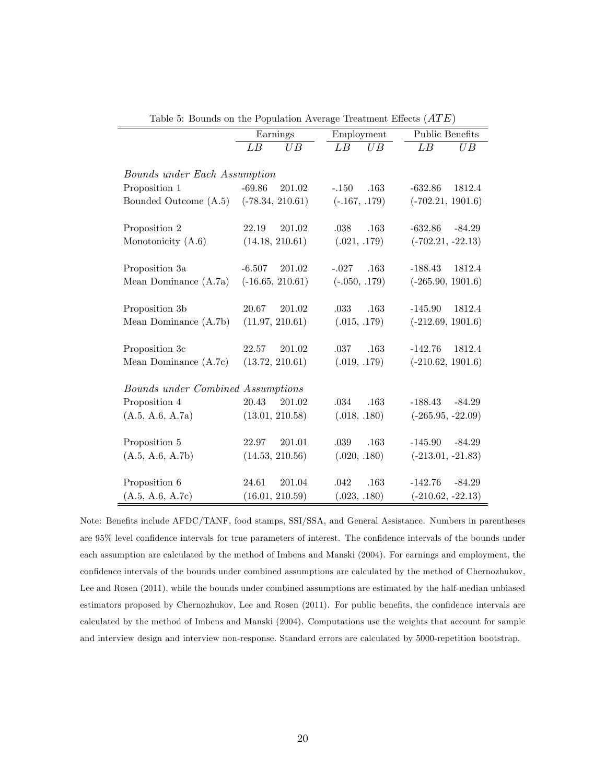|                                        | Earnings           | Employment                         | Public Benefits       |
|----------------------------------------|--------------------|------------------------------------|-----------------------|
|                                        | UB<br>LB           | $\overline{LB}$<br>$\overline{UB}$ | LB<br>UB              |
|                                        |                    |                                    |                       |
| Bounds under Each Assumption           |                    |                                    |                       |
| Proposition 1                          | $-69.86$<br>201.02 | .163<br>$-.150$                    | $-632.86$<br>1812.4   |
| Bounded Outcome (A.5) (-78.34, 210.61) |                    | $(-.167, .179)$                    | $(-702.21, 1901.6)$   |
|                                        |                    |                                    |                       |
| Proposition 2                          | 201.02<br>22.19    | .038<br>.163                       | $-84.29$<br>-632.86   |
| Monotonicity $(A.6)$                   | (14.18, 210.61)    | (.021, .179)                       | $(-702.21, -22.13)$   |
|                                        |                    |                                    |                       |
| Proposition 3a                         | 201.02<br>$-6.507$ | $-.027-.163$                       | 1812.4<br>-188.43     |
| Mean Dominance $(A.7a)$                | $(-16.65, 210.61)$ | $(-.050, .179)$                    | $(-265.90, 1901.6)$   |
|                                        |                    |                                    |                       |
| Proposition 3b                         | 20.67<br>201.02    | $.163\,$<br>.033                   | 1812.4<br>$-145.90$   |
| Mean Dominance $(A.7b)$                | (11.97, 210.61)    | (.015, .179)                       | $(-212.69, 1901.6)$   |
|                                        |                    |                                    |                       |
| Proposition 3c                         | 22.57<br>201.02    | .037<br>.163                       | $-142.76$<br>1812.4   |
| Mean Dominance $(A.7c)$                | (13.72, 210.61)    | (.019, .179)                       | $(-210.62, 1901.6)$   |
|                                        |                    |                                    |                       |
| Bounds under Combined Assumptions      |                    |                                    |                       |
| Proposition 4                          | 20.43<br>201.02    | .034<br>.163                       | $-84.29$<br>$-188.43$ |
| (A.5, A.6, A.7a)                       | (13.01, 210.58)    | (.018, .180)                       | $(-265.95, -22.09)$   |
|                                        |                    |                                    |                       |
| Proposition 5                          | 201.01<br>22.97    | .163<br>.039                       | $-145.90$<br>$-84.29$ |
| (A.5, A.6, A.7b)                       | (14.53, 210.56)    | (.020, .180)                       | $(-213.01, -21.83)$   |
|                                        |                    |                                    |                       |
| Proposition 6                          | 201.04<br>24.61    | .042<br>.163                       | $-84.29$<br>-142.76   |
| (A.5, A.6, A.7c)                       | (16.01, 210.59)    | (.023, .180)                       | $(-210.62, -22.13)$   |

Table 5: Bounds on the Population Average Treatment Effects  $(ATE)$ 

Note: Benefits include AFDC/TANF, food stamps, SSI/SSA, and General Assistance. Numbers in parentheses are 95% level confidence intervals for true parameters of interest. The confidence intervals of the bounds under each assumption are calculated by the method of Imbens and Manski (2004). For earnings and employment, the confidence intervals of the bounds under combined assumptions are calculated by the method of Chernozhukov, Lee and Rosen (2011), while the bounds under combined assumptions are estimated by the half-median unbiased estimators proposed by Chernozhukov, Lee and Rosen (2011). For public benefits, the confidence intervals are calculated by the method of Imbens and Manski (2004). Computations use the weights that account for sample and interview design and interview non-response. Standard errors are calculated by 5000-repetition bootstrap.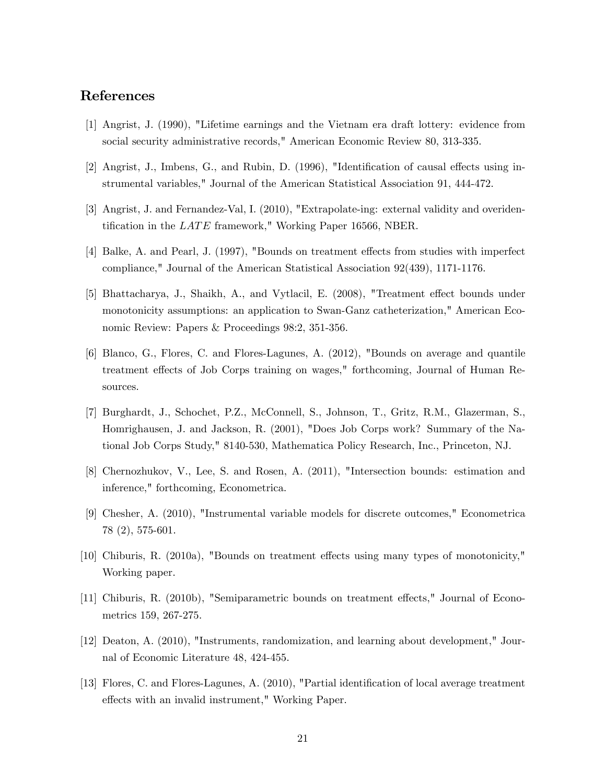# References

- [1] Angrist, J. (1990), "Lifetime earnings and the Vietnam era draft lottery: evidence from social security administrative records," American Economic Review 80, 313-335.
- [2] Angrist, J., Imbens, G., and Rubin, D. (1996), "Identification of causal effects using instrumental variables," Journal of the American Statistical Association 91, 444-472.
- [3] Angrist, J. and Fernandez-Val, I. (2010), "Extrapolate-ing: external validity and overidentification in the  $LATE$  framework," Working Paper 16566, NBER.
- [4] Balke, A. and Pearl, J. (1997), "Bounds on treatment effects from studies with imperfect compliance," Journal of the American Statistical Association 92(439), 1171-1176.
- [5] Bhattacharya, J., Shaikh, A., and Vytlacil, E. (2008), "Treatment effect bounds under monotonicity assumptions: an application to Swan-Ganz catheterization," American Economic Review: Papers & Proceedings 98:2, 351-356.
- [6] Blanco, G., Flores, C. and Flores-Lagunes, A. (2012), "Bounds on average and quantile treatment effects of Job Corps training on wages," forthcoming, Journal of Human Resources.
- [7] Burghardt, J., Schochet, P.Z., McConnell, S., Johnson, T., Gritz, R.M., Glazerman, S., Homrighausen, J. and Jackson, R. (2001), "Does Job Corps work? Summary of the National Job Corps Study," 8140-530, Mathematica Policy Research, Inc., Princeton, NJ.
- [8] Chernozhukov, V., Lee, S. and Rosen, A. (2011), "Intersection bounds: estimation and inference," forthcoming, Econometrica.
- [9] Chesher, A. (2010), "Instrumental variable models for discrete outcomes," Econometrica 78 (2), 575-601.
- [10] Chiburis, R. (2010a), "Bounds on treatment effects using many types of monotonicity," Working paper.
- [11] Chiburis, R. (2010b), "Semiparametric bounds on treatment effects," Journal of Econometrics 159, 267-275.
- [12] Deaton, A. (2010), "Instruments, randomization, and learning about development," Journal of Economic Literature 48, 424-455.
- [13] Flores, C. and Flores-Lagunes, A. (2010), "Partial identification of local average treatment effects with an invalid instrument," Working Paper.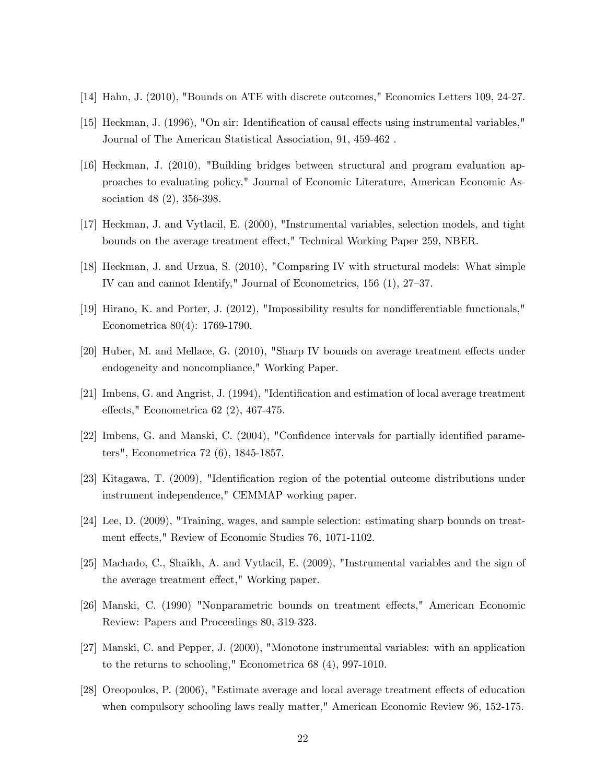- [14] Hahn, J. (2010), "Bounds on ATE with discrete outcomes," Economics Letters 109, 24-27.
- [15] Heckman, J. (1996), "On air: Identification of causal effects using instrumental variables," Journal of The American Statistical Association, 91, 459-462 .
- [16] Heckman, J. (2010), "Building bridges between structural and program evaluation approaches to evaluating policy," Journal of Economic Literature, American Economic Association 48 (2), 356-398.
- [17] Heckman, J. and Vytlacil, E. (2000), "Instrumental variables, selection models, and tight bounds on the average treatment effect," Technical Working Paper 259, NBER.
- [18] Heckman, J. and Urzua, S. (2010), "Comparing IV with structural models: What simple IV can and cannot Identify," Journal of Econometrics,  $156(1)$ ,  $27-37$ .
- [19] Hirano, K. and Porter, J. (2012), "Impossibility results for nondifferentiable functionals," Econometrica 80(4): 1769-1790.
- [20] Huber, M. and Mellace, G. (2010), "Sharp IV bounds on average treatment effects under endogeneity and noncompliance," Working Paper.
- [21] Imbens, G. and Angrist, J. (1994), "Identification and estimation of local average treatment effects," Econometrica 62 $(2)$ , 467-475.
- $[22]$  Imbens, G. and Manski, C.  $(2004)$ , "Confidence intervals for partially identified parameters", Econometrica 72 (6), 1845-1857.
- [23] Kitagawa, T. (2009), "Identification region of the potential outcome distributions under instrument independence," CEMMAP working paper.
- [24] Lee, D. (2009), "Training, wages, and sample selection: estimating sharp bounds on treatment effects," Review of Economic Studies 76, 1071-1102.
- [25] Machado, C., Shaikh, A. and Vytlacil, E. (2009), "Instrumental variables and the sign of the average treatment effect," Working paper.
- [26] Manski, C. (1990) "Nonparametric bounds on treatment effects," American Economic Review: Papers and Proceedings 80, 319-323.
- [27] Manski, C. and Pepper, J. (2000), "Monotone instrumental variables: with an application to the returns to schooling," Econometrica 68 (4), 997-1010.
- [28] Oreopoulos, P. (2006), "Estimate average and local average treatment effects of education when compulsory schooling laws really matter," American Economic Review 96, 152-175.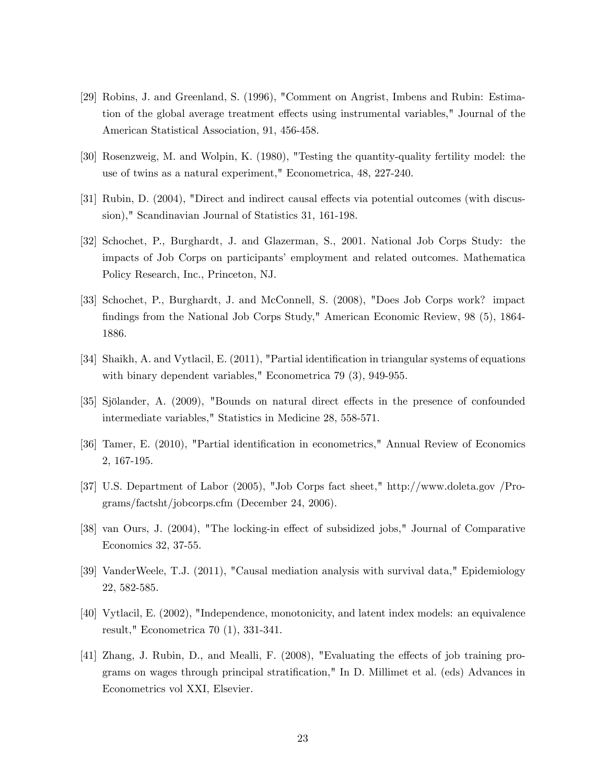- [29] Robins, J. and Greenland, S. (1996), "Comment on Angrist, Imbens and Rubin: Estimation of the global average treatment effects using instrumental variables," Journal of the American Statistical Association, 91, 456-458.
- [30] Rosenzweig, M. and Wolpin, K. (1980), "Testing the quantity-quality fertility model: the use of twins as a natural experiment," Econometrica, 48, 227-240.
- [31] Rubin, D. (2004), "Direct and indirect causal effects via potential outcomes (with discussion)," Scandinavian Journal of Statistics 31, 161-198.
- [32] Schochet, P., Burghardt, J. and Glazerman, S., 2001. National Job Corps Study: the impacts of Job Corps on participants' employment and related outcomes. Mathematica Policy Research, Inc., Princeton, NJ.
- [33] Schochet, P., Burghardt, J. and McConnell, S. (2008), "Does Job Corps work? impact Öndings from the National Job Corps Study," American Economic Review, 98 (5), 1864- 1886.
- [34] Shaikh, A. and Vytlacil, E. (2011), "Partial identification in triangular systems of equations with binary dependent variables," Econometrica 79 (3), 949-955.
- [35] Sjölander, A. (2009), "Bounds on natural direct effects in the presence of confounded intermediate variables," Statistics in Medicine 28, 558-571.
- [36] Tamer, E. (2010), "Partial identification in econometrics," Annual Review of Economics 2, 167-195.
- [37] U.S. Department of Labor (2005), "Job Corps fact sheet," http://www.doleta.gov /Programs/factsht/jobcorps.cfm (December 24, 2006).
- [38] van Ours, J. (2004), "The locking-in effect of subsidized jobs," Journal of Comparative Economics 32, 37-55.
- [39] VanderWeele, T.J. (2011), "Causal mediation analysis with survival data," Epidemiology 22, 582-585.
- [40] Vytlacil, E. (2002), "Independence, monotonicity, and latent index models: an equivalence result," Econometrica 70 (1), 331-341.
- [41] Zhang, J. Rubin, D., and Mealli, F. (2008), "Evaluating the effects of job training programs on wages through principal stratification," In D. Millimet et al. (eds) Advances in Econometrics vol XXI, Elsevier.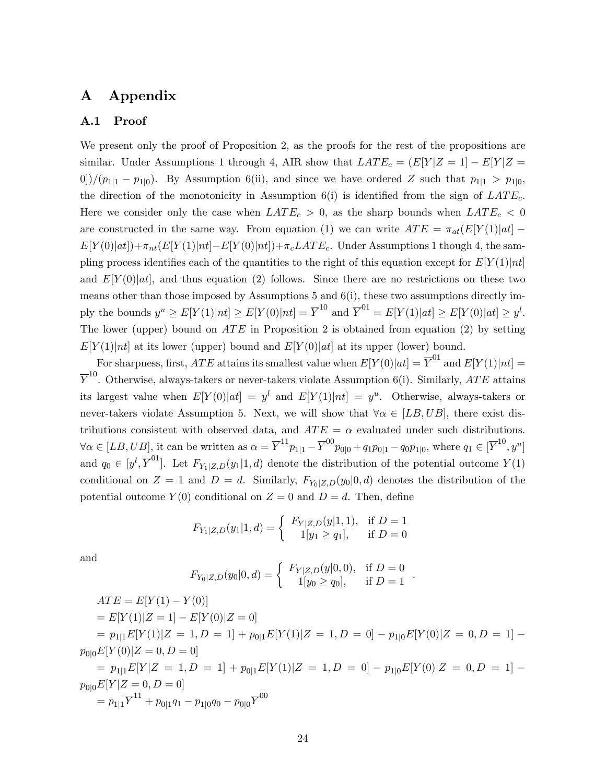# A Appendix

#### A.1 Proof

We present only the proof of Proposition 2, as the proofs for the rest of the propositions are similar. Under Assumptions 1 through 4, AIR show that  $LATE_c = (E[Y|Z = 1] - E[Y|Z = 1])$ 0])/ $(p_{1|1} - p_{1|0})$ . By Assumption 6(ii), and since we have ordered Z such that  $p_{1|1} > p_{1|0}$ , the direction of the monotonicity in Assumption  $6(i)$  is identified from the sign of  $LATE_c$ . Here we consider only the case when  $LATE_c > 0$ , as the sharp bounds when  $LATE_c < 0$ are constructed in the same way. From equation (1) we can write  $ATE = \pi_{at}(E[Y(1)|at] E[Y(0)|at]$  +  $\pi_{nt}(E[Y(1)|nt] - E[Y(0)|nt]) + \pi_{c}LATE_{c}$ . Under Assumptions 1 though 4, the sampling process identifies each of the quantities to the right of this equation except for  $E[Y(1)|nt]$ and  $E[Y(0)|at]$ , and thus equation (2) follows. Since there are no restrictions on these two means other than those imposed by Assumptions 5 and 6(i), these two assumptions directly imply the bounds  $y^u \ge E[Y(1)|nt] \ge E[Y(0)|nt] = \overline{Y}^{10}$  and  $\overline{Y}^{01} = E[Y(1)|at] \ge E[Y(0)|at] \ge y^l$ . The lower (upper) bound on  $ATE$  in Proposition 2 is obtained from equation (2) by setting  $E[Y(1)]$ nt at its lower (upper) bound and  $E[Y(0)]$ at its upper (lower) bound.

For sharpness, first,  $ATE$  attains its smallest value when  $E[Y(0)|at] = \overline{Y}^{01}$  and  $E[Y(1)|nt] =$  $\overline{Y}^{10}$ . Otherwise, always-takers or never-takers violate Assumption 6(i). Similarly, *ATE* attains its largest value when  $E[Y(0)|at] = y^l$  and  $E[Y(1)|nt] = y^u$ . Otherwise, always-takers or never-takers violate Assumption 5. Next, we will show that  $\forall \alpha \in [LB, UB]$ , there exist distributions consistent with observed data, and  $ATE = \alpha$  evaluated under such distributions.  $\forall \alpha \in [LB, UB],$  it can be written as  $\alpha = \overline{Y}^{11} p_{1|1} - \overline{Y}^{00} p_{0|0} + q_1 p_{0|1} - q_0 p_{1|0}$ , where  $q_1 \in [\overline{Y}^{10}, y^u]$ and  $q_0 \in [y^l, \overline{Y}^{01}]$ . Let  $F_{Y_1|Z,D}(y_1|1, d)$  denote the distribution of the potential outcome  $Y(1)$ conditional on  $Z = 1$  and  $D = d$ . Similarly,  $F_{Y_0|Z,D}(y_0|0,d)$  denotes the distribution of the potential outcome  $Y(0)$  conditional on  $Z = 0$  and  $D = d$ . Then, define

$$
F_{Y_1|Z,D}(y_1|1,d) = \begin{cases} F_{Y|Z,D}(y|1,1), & \text{if } D = 1\\ 1[y_1 \ge q_1], & \text{if } D = 0 \end{cases}
$$

and

$$
F_{Y_0|Z,D}(y_0|0,d) = \begin{cases} F_{Y|Z,D}(y|0,0), & \text{if } D = 0 \\ 1[y_0 \ge q_0], & \text{if } D = 1 \end{cases}.
$$

$$
ATE = E[Y(1) - Y(0)]
$$
  
=  $E[Y(1)|Z = 1] - E[Y(0)|Z = 0]$   
=  $p_{1|1}E[Y(1)|Z = 1, D = 1] + p_{0|1}E[Y(1)|Z = 1, D = 0] - p_{1|0}E[Y(0)|Z = 0, D = 1] -$   
 $p_{0|0}E[Y(0)|Z = 0, D = 0]$   
=  $p_{1|1}E[Y|Z = 1, D = 1] + p_{0|1}E[Y(1)|Z = 1, D = 0] - p_{1|0}E[Y(0)|Z = 0, D = 1] -$   
 $p_{0|0}E[Y|Z = 0, D = 0]$   
=  $p_{1|1}\overline{Y}^{11} + p_{0|1}q_1 - p_{1|0}q_0 - p_{0|0}\overline{Y}^{00}$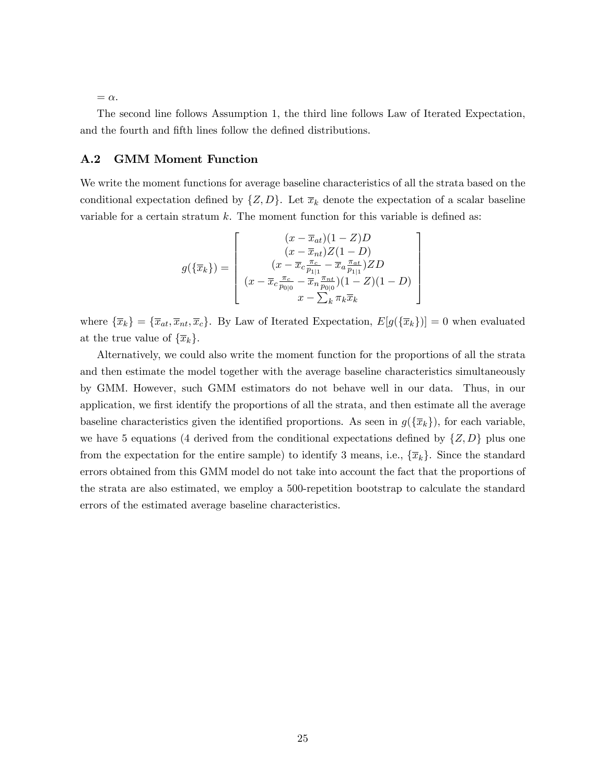$= \alpha$ .

The second line follows Assumption 1, the third line follows Law of Iterated Expectation, and the fourth and fifth lines follow the defined distributions.

#### A.2 GMM Moment Function

We write the moment functions for average baseline characteristics of all the strata based on the conditional expectation defined by  $\{Z, D\}$ . Let  $\overline{x}_k$  denote the expectation of a scalar baseline variable for a certain stratum  $k$ . The moment function for this variable is defined as:

$$
g(\{\overline{x}_k\}) = \begin{bmatrix} (x - \overline{x}_{at})(1 - Z)D \\ (x - \overline{x}_{nt})Z(1 - D) \\ (x - \overline{x}_c \frac{\pi_c}{p_{1|1}} - \overline{x}_a \frac{\pi_{at}}{p_{1|1}})ZD \\ (x - \overline{x}_c \frac{\pi_c}{p_{0|0}} - \overline{x}_n \frac{\pi_{nt}}{p_{0|0}})(1 - Z)(1 - D) \\ x - \sum_k \pi_k \overline{x}_k \end{bmatrix}
$$

where  $\{\overline{x}_k\} = \{\overline{x}_{at}, \overline{x}_{nt}, \overline{x}_c\}$ . By Law of Iterated Expectation,  $E[g(\{\overline{x}_k\})] = 0$  when evaluated at the true value of  $\{\overline{x}_k\}.$ 

Alternatively, we could also write the moment function for the proportions of all the strata and then estimate the model together with the average baseline characteristics simultaneously by GMM. However, such GMM estimators do not behave well in our data. Thus, in our application, we first identify the proportions of all the strata, and then estimate all the average baseline characteristics given the identified proportions. As seen in  $g(\lbrace \bar{x}_k \rbrace)$ , for each variable, we have 5 equations (4 derived from the conditional expectations defined by  $\{Z, D\}$  plus one from the expectation for the entire sample) to identify 3 means, i.e.,  $\{\overline{x}_k\}$ . Since the standard errors obtained from this GMM model do not take into account the fact that the proportions of the strata are also estimated, we employ a 500-repetition bootstrap to calculate the standard errors of the estimated average baseline characteristics.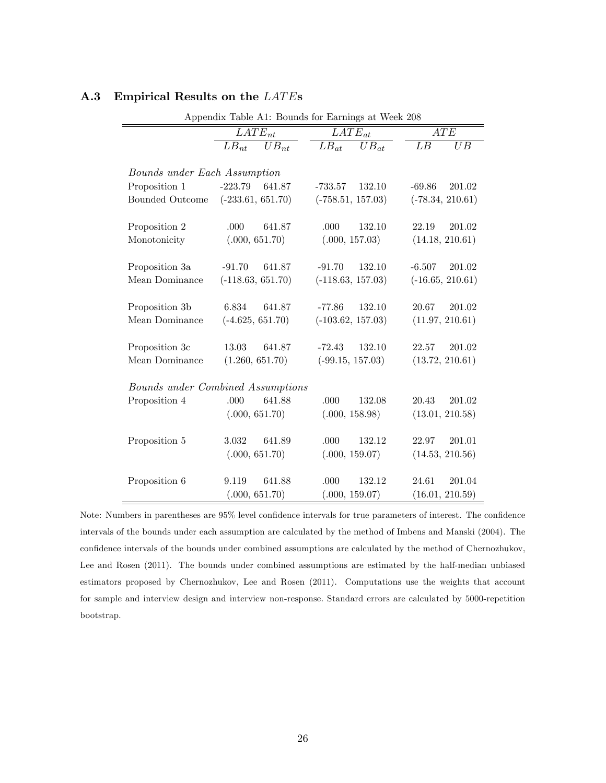|                                   | $LATE_{nt}$            | $LATE_{at}$            | ATE                                |
|-----------------------------------|------------------------|------------------------|------------------------------------|
|                                   | $UB_{nt}$<br>$LB_{nt}$ | $LB_{at}$<br>$UB_{at}$ | $\overline{LB}$<br>$\overline{U}B$ |
|                                   |                        |                        |                                    |
| Bounds under Each Assumption      |                        |                        |                                    |
| Proposition 1                     | $-223.79$<br>641.87    | 132.10<br>-733.57      | $-69.86$<br>201.02                 |
| <b>Bounded Outcome</b>            | $(-233.61, 651.70)$    | $(-758.51, 157.03)$    | $(-78.34, 210.61)$                 |
| Proposition 2                     | .000.<br>641.87        | .000.<br>132.10        | 22.19<br>201.02                    |
| Monotonicity                      | (.000, 651.70)         | (.000, 157.03)         | (14.18, 210.61)                    |
|                                   |                        |                        |                                    |
| Proposition 3a                    | $-91.70$<br>641.87     | $-91.70$<br>132.10     | $-6.507$<br>201.02                 |
| Mean Dominance                    | $(-118.63, 651.70)$    | $(-118.63, 157.03)$    | $(-16.65, 210.61)$                 |
|                                   |                        |                        |                                    |
| Proposition 3b                    | 641.87<br>6.834        | $-77.86$<br>132.10     | 20.67<br>201.02                    |
| Mean Dominance                    | $(-4.625, 651.70)$     | $(-103.62, 157.03)$    | (11.97, 210.61)                    |
|                                   |                        |                        |                                    |
| Proposition 3c                    | 13.03<br>641.87        | -72.43<br>132.10       | 201.02<br>22.57                    |
| Mean Dominance                    | (1.260, 651.70)        | $(-99.15, 157.03)$     | (13.72, 210.61)                    |
|                                   |                        |                        |                                    |
| Bounds under Combined Assumptions |                        |                        |                                    |
| Proposition 4                     | 641.88<br>.000         | .000<br>132.08         | 20.43<br>201.02                    |
|                                   | (.000, 651.70)         | (.000, 158.98)         | (13.01, 210.58)                    |
|                                   |                        |                        |                                    |
| Proposition 5                     | 641.89<br>3.032        | .000<br>132.12         | 22.97<br>201.01                    |
|                                   | (.000, 651.70)         | (.000, 159.07)         | (14.53, 210.56)                    |
|                                   |                        |                        |                                    |
| Proposition 6                     | 641.88<br>9.119        | .000<br>132.12         | 24.61<br>201.04                    |
|                                   | (.000, 651.70)         | (.000, 159.07)         | (16.01, 210.59)                    |

## A.3 Empirical Results on the LATEs

Appendix Table A1: Bounds for Earnings at Week 208

Note: Numbers in parentheses are  $95\%$  level confidence intervals for true parameters of interest. The confidence intervals of the bounds under each assumption are calculated by the method of Imbens and Manski (2004). The confidence intervals of the bounds under combined assumptions are calculated by the method of Chernozhukov, Lee and Rosen (2011). The bounds under combined assumptions are estimated by the half-median unbiased estimators proposed by Chernozhukov, Lee and Rosen (2011). Computations use the weights that account for sample and interview design and interview non-response. Standard errors are calculated by 5000-repetition bootstrap.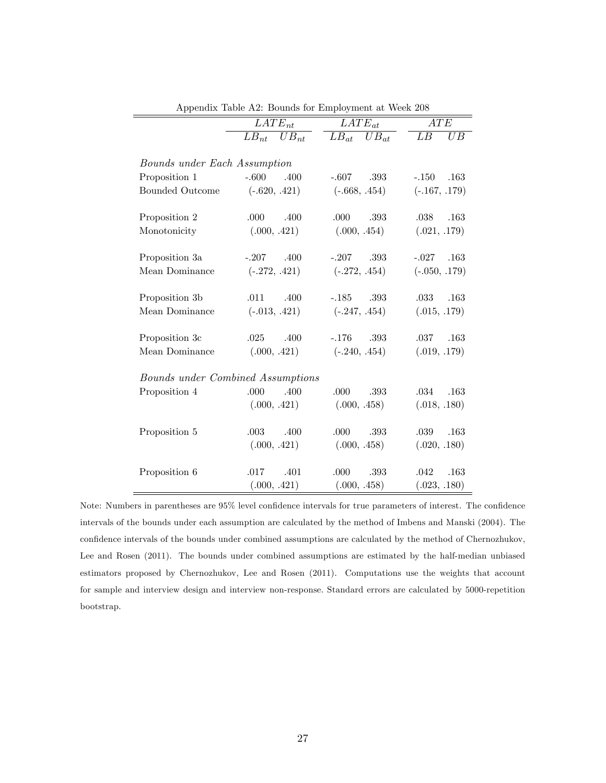|                                          | $\overline{L}ATE_{nt}$ | $LATE_{at}$            | ATE             |  |  |  |  |
|------------------------------------------|------------------------|------------------------|-----------------|--|--|--|--|
|                                          | $LB_{nt}$ $UB_{nt}$    | $LB_{at}$<br>$UB_{at}$ | LB<br>UB        |  |  |  |  |
|                                          |                        |                        |                 |  |  |  |  |
| Bounds under Each Assumption             |                        |                        |                 |  |  |  |  |
| Proposition 1                            | $-.600$<br>.400        | .393<br>$-.607$        | $-.150$<br>.163 |  |  |  |  |
| <b>Bounded Outcome</b>                   | $(-.620, .421)$        | $(-.668, .454)$        | $(-.167, .179)$ |  |  |  |  |
|                                          |                        |                        |                 |  |  |  |  |
| Proposition 2                            | .000<br>.400           | .000<br>.393           | .038<br>.163    |  |  |  |  |
| Monotonicity                             | (.000, .421)           | (.000, .454)           | (.021, .179)    |  |  |  |  |
|                                          |                        |                        |                 |  |  |  |  |
| Proposition 3a                           | $-.207$<br>.400        | $-.207$<br>.393        | $-.027$<br>.163 |  |  |  |  |
| Mean Dominance                           | $(-.272, .421)$        | $(-.272, .454)$        | $(-.050, .179)$ |  |  |  |  |
|                                          |                        |                        |                 |  |  |  |  |
| Proposition 3b                           | .011<br>.400           | $-.185$<br>.393        | .033<br>.163    |  |  |  |  |
| Mean Dominance                           | $(-.013, .421)$        | $(-.247, .454)$        | (.015, .179)    |  |  |  |  |
|                                          |                        |                        |                 |  |  |  |  |
| Proposition 3c                           | .025<br>.400           | .393<br>$-.176$        | .037<br>.163    |  |  |  |  |
| Mean Dominance                           | (.000, .421)           | $(-.240, .454)$        | (.019, .179)    |  |  |  |  |
|                                          |                        |                        |                 |  |  |  |  |
| <b>Bounds under Combined Assumptions</b> |                        |                        |                 |  |  |  |  |
| Proposition 4                            | .000<br>.400           | .000<br>.393           | .034<br>.163    |  |  |  |  |
|                                          | (.000, .421)           | (.000, .458)           | (.018, .180)    |  |  |  |  |
|                                          |                        |                        |                 |  |  |  |  |
| Proposition 5                            | .400<br>.003           | .000<br>.393           | .039<br>.163    |  |  |  |  |
|                                          | (.000, .421)           | (.000, .458)           | (.020, .180)    |  |  |  |  |
|                                          |                        |                        |                 |  |  |  |  |
| Proposition 6                            | .401<br>.017           | .000<br>.393           | .042<br>.163    |  |  |  |  |
|                                          | (.000, .421)           | (.000, .458)           | (.023, .180)    |  |  |  |  |

Appendix Table A2: Bounds for Employment at Week 208

Note: Numbers in parentheses are 95% level confidence intervals for true parameters of interest. The confidence intervals of the bounds under each assumption are calculated by the method of Imbens and Manski (2004). The confidence intervals of the bounds under combined assumptions are calculated by the method of Chernozhukov, Lee and Rosen (2011). The bounds under combined assumptions are estimated by the half-median unbiased estimators proposed by Chernozhukov, Lee and Rosen (2011). Computations use the weights that account for sample and interview design and interview non-response. Standard errors are calculated by 5000-repetition bootstrap.